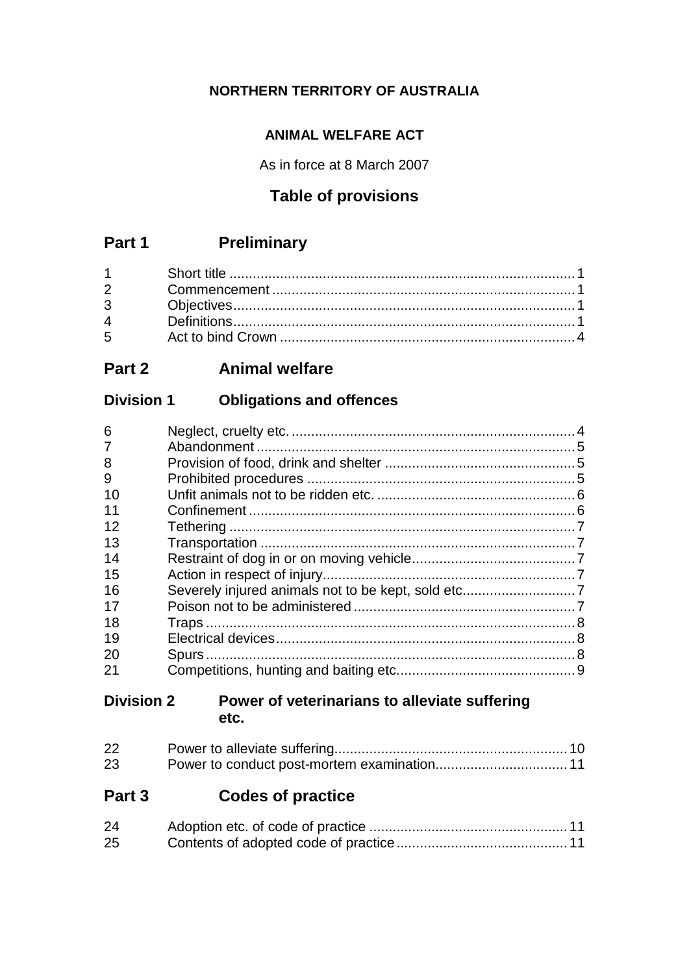# **NORTHERN TERRITORY OF AUSTRALIA**

# **ANIMAL WELFARE ACT**

As in force at 8 March 2007

# **Table of provisions**

# **Part 1 Preliminary**

| $5^{\circ}$ |  |
|-------------|--|

# **Part 2 Animal welfare**

# **Division 1 Obligations and offences**

| 6              |  |
|----------------|--|
| $\overline{7}$ |  |
| 8              |  |
| 9              |  |
| 10             |  |
| 11             |  |
| 12             |  |
| 13             |  |
| 14             |  |
| 15             |  |
| 16             |  |
| 17             |  |
| 18             |  |
| 19             |  |
| 20             |  |
| 21             |  |
|                |  |

# **Division 2 Power of veterinarians to alleviate suffering etc.**

| 22 |  |
|----|--|
| 23 |  |

# **Part 3 Codes of practice**

| 24 |  |
|----|--|
| 25 |  |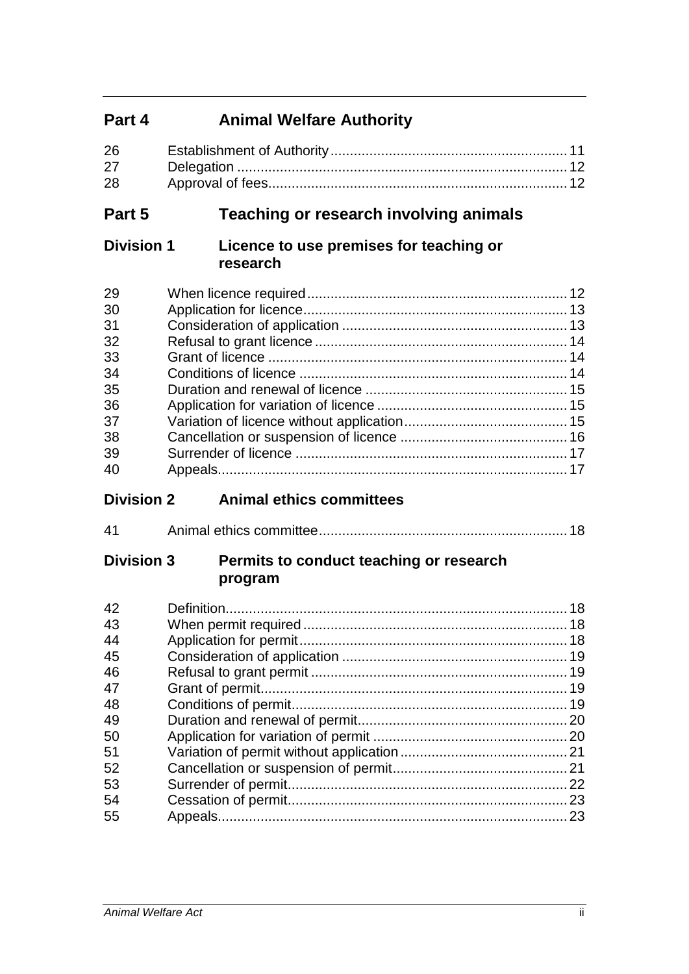# **Part 4 Animal Welfare Authority**

| 26 |  |
|----|--|
| 27 |  |
| 28 |  |

# **Part 5 Teaching or research involving animals**

# **Division 1 Licence to use premises for teaching or research**

| 29 |  |
|----|--|
| 30 |  |
| 31 |  |
| 32 |  |
| 33 |  |
| 34 |  |
| 35 |  |
| 36 |  |
| 37 |  |
| 38 |  |
| 39 |  |
| 40 |  |
|    |  |

# **Division 2 Animal ethics committees**

| 41 |  |
|----|--|
|----|--|

# **Division 3 Permits to conduct teaching or research program**

| 23 |
|----|
|    |
|    |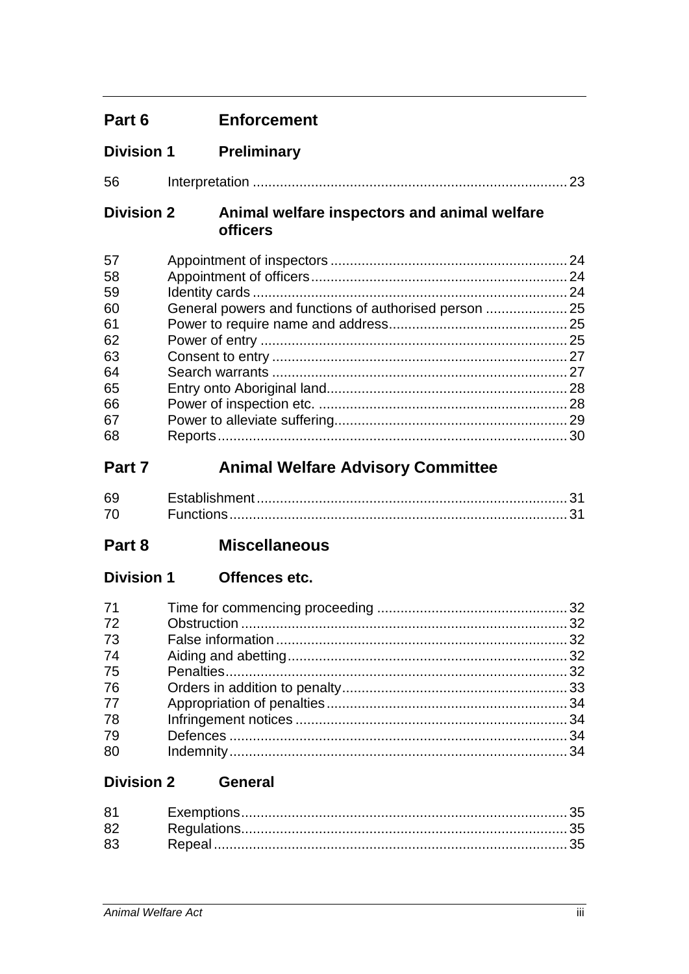| Part 6                                                               | <b>Enforcement</b>                                              |    |
|----------------------------------------------------------------------|-----------------------------------------------------------------|----|
| <b>Division 1</b>                                                    | <b>Preliminary</b>                                              |    |
| 56                                                                   |                                                                 | 23 |
| <b>Division 2</b>                                                    | Animal welfare inspectors and animal welfare<br><b>officers</b> |    |
| 57<br>58<br>59<br>60<br>61<br>62<br>63<br>64<br>65<br>66<br>67<br>68 | General powers and functions of authorised person  25           |    |
| Part 7                                                               | <b>Animal Welfare Advisory Committee</b>                        |    |
| 69<br>70                                                             |                                                                 |    |
| Part 8                                                               | <b>Miscellaneous</b>                                            |    |
| <b>Division 1</b>                                                    | Offences etc.                                                   |    |
| 71<br>72<br>73<br>74<br>75<br>76<br>77<br>78<br>79<br>80             |                                                                 |    |
| <b>Division 2</b>                                                    | <b>General</b>                                                  |    |
| 81<br>82<br>83                                                       |                                                                 |    |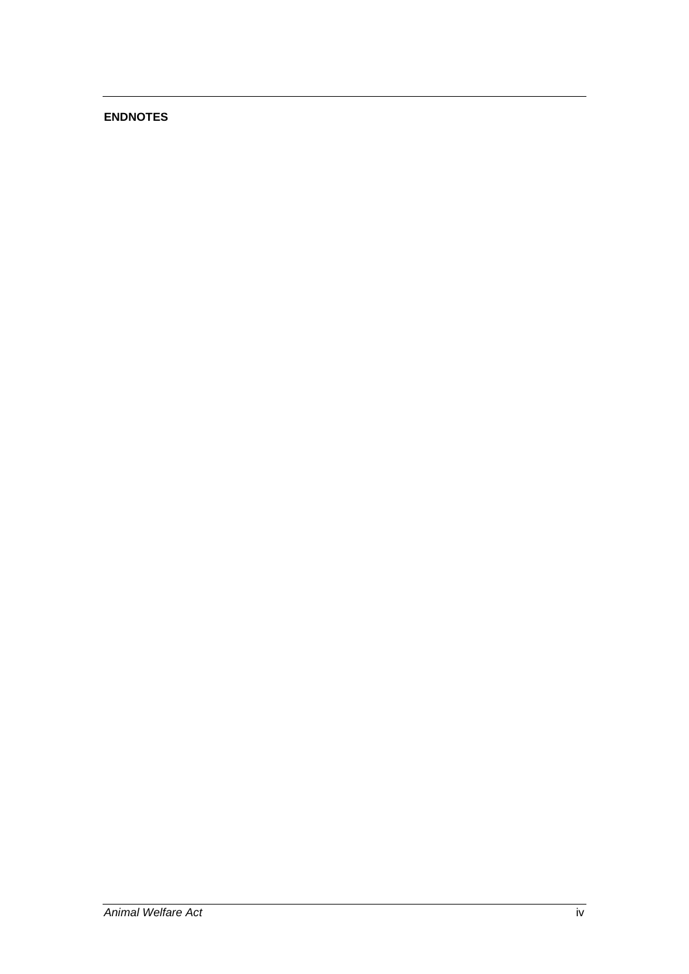# **ENDNOTES**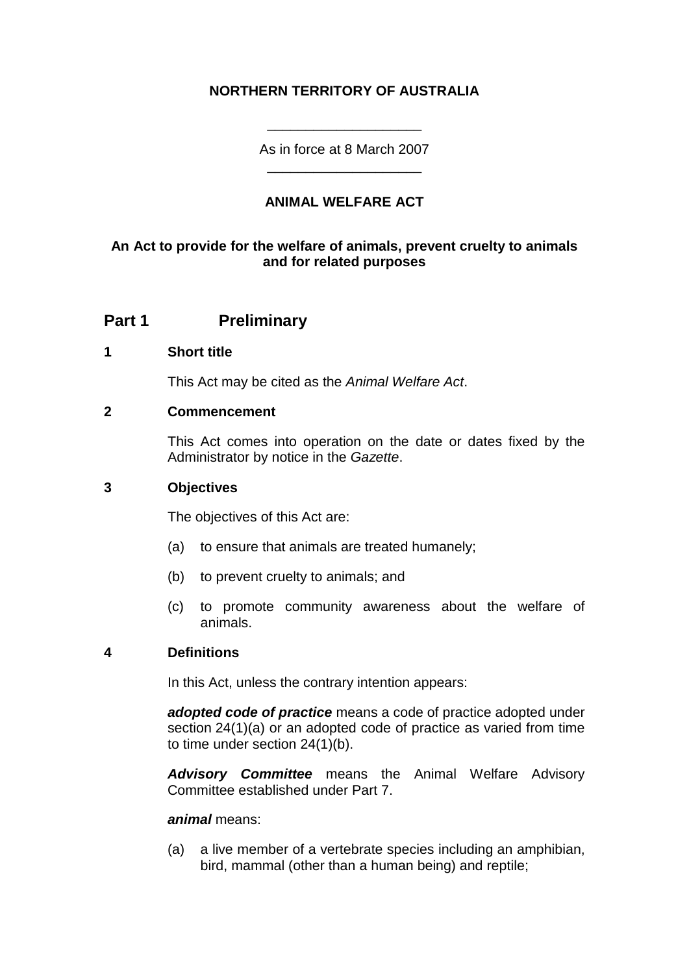# **NORTHERN TERRITORY OF AUSTRALIA**

As in force at 8 March 2007 \_\_\_\_\_\_\_\_\_\_\_\_\_\_\_\_\_\_\_\_

\_\_\_\_\_\_\_\_\_\_\_\_\_\_\_\_\_\_\_\_

# **ANIMAL WELFARE ACT**

# **An Act to provide for the welfare of animals, prevent cruelty to animals and for related purposes**

# **Part 1 Preliminary**

#### **1 Short title**

This Act may be cited as the *Animal Welfare Act*.

### **2 Commencement**

This Act comes into operation on the date or dates fixed by the Administrator by notice in the *Gazette*.

### **3 Objectives**

The objectives of this Act are:

- (a) to ensure that animals are treated humanely;
- (b) to prevent cruelty to animals; and
- (c) to promote community awareness about the welfare of animals.

# **4 Definitions**

In this Act, unless the contrary intention appears:

*adopted code of practice* means a code of practice adopted under section 24(1)(a) or an adopted code of practice as varied from time to time under section 24(1)(b).

*Advisory Committee* means the Animal Welfare Advisory Committee established under Part 7.

#### *animal* means:

(a) a live member of a vertebrate species including an amphibian, bird, mammal (other than a human being) and reptile;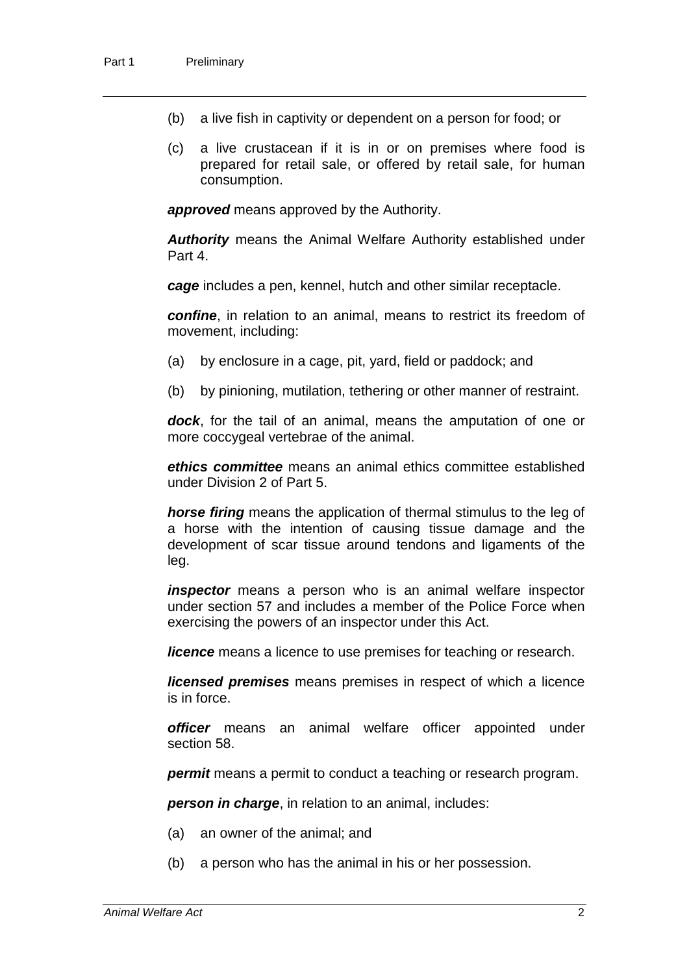- (b) a live fish in captivity or dependent on a person for food; or
- (c) a live crustacean if it is in or on premises where food is prepared for retail sale, or offered by retail sale, for human consumption.

*approved* means approved by the Authority.

*Authority* means the Animal Welfare Authority established under Part 4.

*cage* includes a pen, kennel, hutch and other similar receptacle.

*confine*, in relation to an animal, means to restrict its freedom of movement, including:

- (a) by enclosure in a cage, pit, yard, field or paddock; and
- (b) by pinioning, mutilation, tethering or other manner of restraint.

*dock*, for the tail of an animal, means the amputation of one or more coccygeal vertebrae of the animal.

*ethics committee* means an animal ethics committee established under Division 2 of Part 5.

*horse firing* means the application of thermal stimulus to the leg of a horse with the intention of causing tissue damage and the development of scar tissue around tendons and ligaments of the leg.

*inspector* means a person who is an animal welfare inspector under section 57 and includes a member of the Police Force when exercising the powers of an inspector under this Act.

*licence* means a licence to use premises for teaching or research.

*licensed premises* means premises in respect of which a licence is in force.

*officer* means an animal welfare officer appointed under section 58.

*permit* means a permit to conduct a teaching or research program.

*person in charge*, in relation to an animal, includes:

- (a) an owner of the animal; and
- (b) a person who has the animal in his or her possession.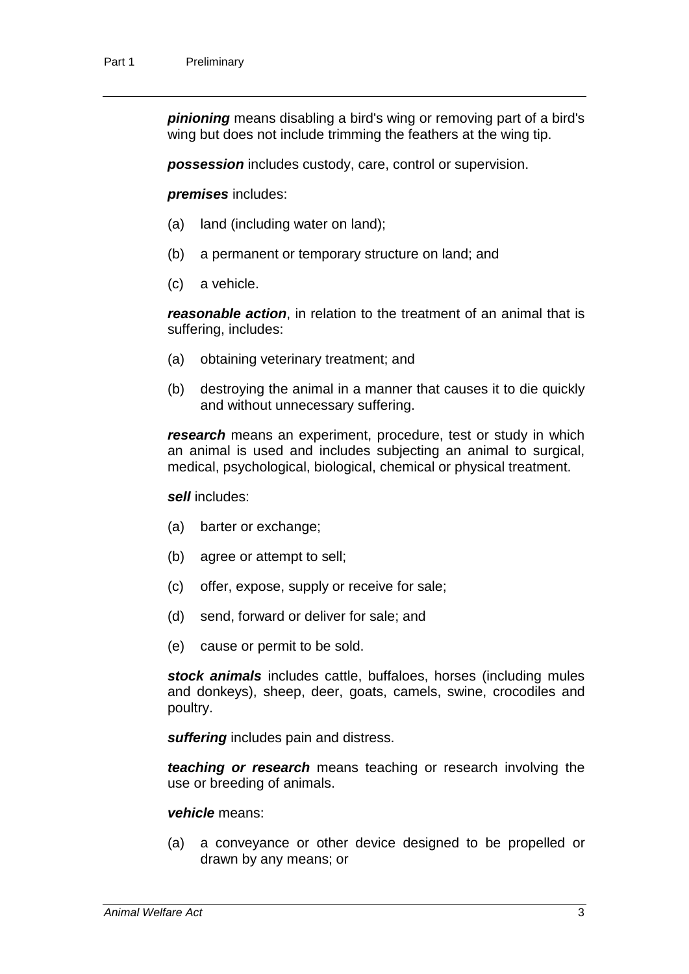*pinioning* means disabling a bird's wing or removing part of a bird's wing but does not include trimming the feathers at the wing tip.

*possession* includes custody, care, control or supervision.

*premises* includes:

- (a) land (including water on land);
- (b) a permanent or temporary structure on land; and
- (c) a vehicle.

*reasonable action*, in relation to the treatment of an animal that is suffering, includes:

- (a) obtaining veterinary treatment; and
- (b) destroying the animal in a manner that causes it to die quickly and without unnecessary suffering.

*research* means an experiment, procedure, test or study in which an animal is used and includes subjecting an animal to surgical, medical, psychological, biological, chemical or physical treatment.

*sell* includes:

- (a) barter or exchange;
- (b) agree or attempt to sell;
- (c) offer, expose, supply or receive for sale;
- (d) send, forward or deliver for sale; and
- (e) cause or permit to be sold.

*stock animals* includes cattle, buffaloes, horses (including mules and donkeys), sheep, deer, goats, camels, swine, crocodiles and poultry.

*suffering* includes pain and distress.

*teaching or research* means teaching or research involving the use or breeding of animals.

#### *vehicle* means:

(a) a conveyance or other device designed to be propelled or drawn by any means; or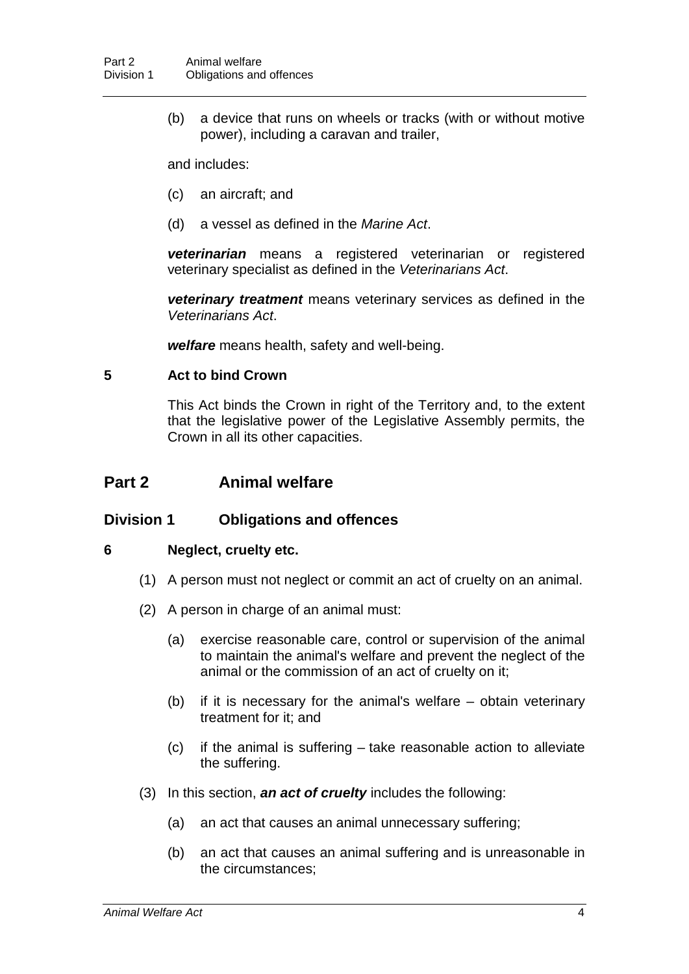(b) a device that runs on wheels or tracks (with or without motive power), including a caravan and trailer,

and includes:

- (c) an aircraft; and
- (d) a vessel as defined in the *Marine Act*.

*veterinarian* means a registered veterinarian or registered veterinary specialist as defined in the *Veterinarians Act*.

*veterinary treatment* means veterinary services as defined in the *Veterinarians Act*.

*welfare* means health, safety and well-being.

# **5 Act to bind Crown**

This Act binds the Crown in right of the Territory and, to the extent that the legislative power of the Legislative Assembly permits, the Crown in all its other capacities.

# **Part 2 Animal welfare**

# **Division 1 Obligations and offences**

# **6 Neglect, cruelty etc.**

- (1) A person must not neglect or commit an act of cruelty on an animal.
- (2) A person in charge of an animal must:
	- (a) exercise reasonable care, control or supervision of the animal to maintain the animal's welfare and prevent the neglect of the animal or the commission of an act of cruelty on it;
	- (b) if it is necessary for the animal's welfare obtain veterinary treatment for it; and
	- (c) if the animal is suffering take reasonable action to alleviate the suffering.
- (3) In this section, *an act of cruelty* includes the following:
	- (a) an act that causes an animal unnecessary suffering;
	- (b) an act that causes an animal suffering and is unreasonable in the circumstances;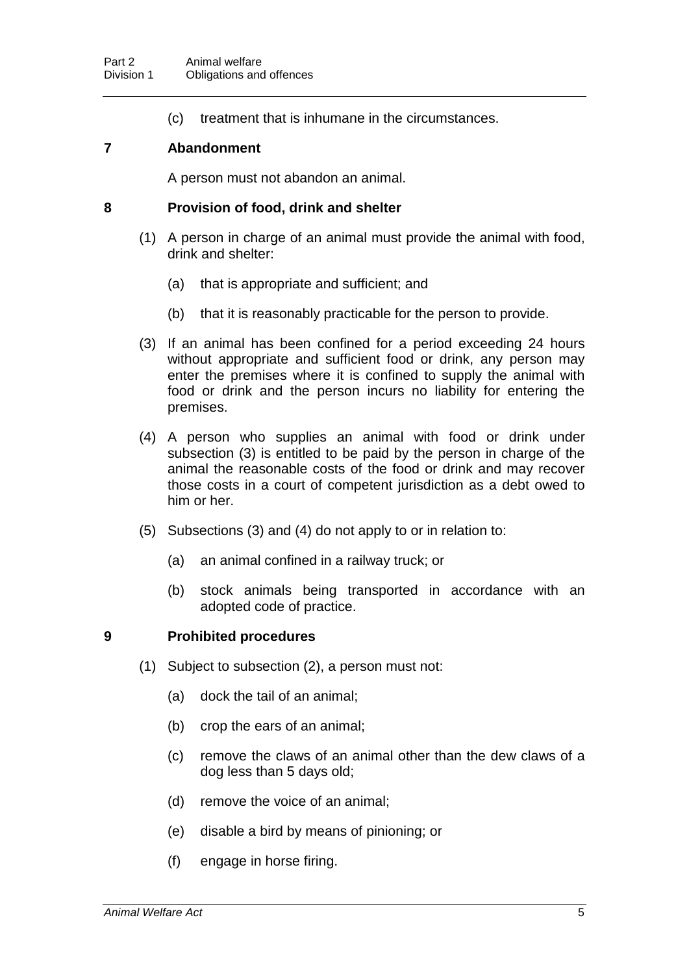(c) treatment that is inhumane in the circumstances.

# **7 Abandonment**

A person must not abandon an animal.

### **8 Provision of food, drink and shelter**

- (1) A person in charge of an animal must provide the animal with food, drink and shelter:
	- (a) that is appropriate and sufficient; and
	- (b) that it is reasonably practicable for the person to provide.
- (3) If an animal has been confined for a period exceeding 24 hours without appropriate and sufficient food or drink, any person may enter the premises where it is confined to supply the animal with food or drink and the person incurs no liability for entering the premises.
- (4) A person who supplies an animal with food or drink under subsection (3) is entitled to be paid by the person in charge of the animal the reasonable costs of the food or drink and may recover those costs in a court of competent jurisdiction as a debt owed to him or her.
- (5) Subsections (3) and (4) do not apply to or in relation to:
	- (a) an animal confined in a railway truck; or
	- (b) stock animals being transported in accordance with an adopted code of practice.

# **9 Prohibited procedures**

- (1) Subject to subsection (2), a person must not:
	- (a) dock the tail of an animal;
	- (b) crop the ears of an animal;
	- (c) remove the claws of an animal other than the dew claws of a dog less than 5 days old;
	- (d) remove the voice of an animal;
	- (e) disable a bird by means of pinioning; or
	- (f) engage in horse firing.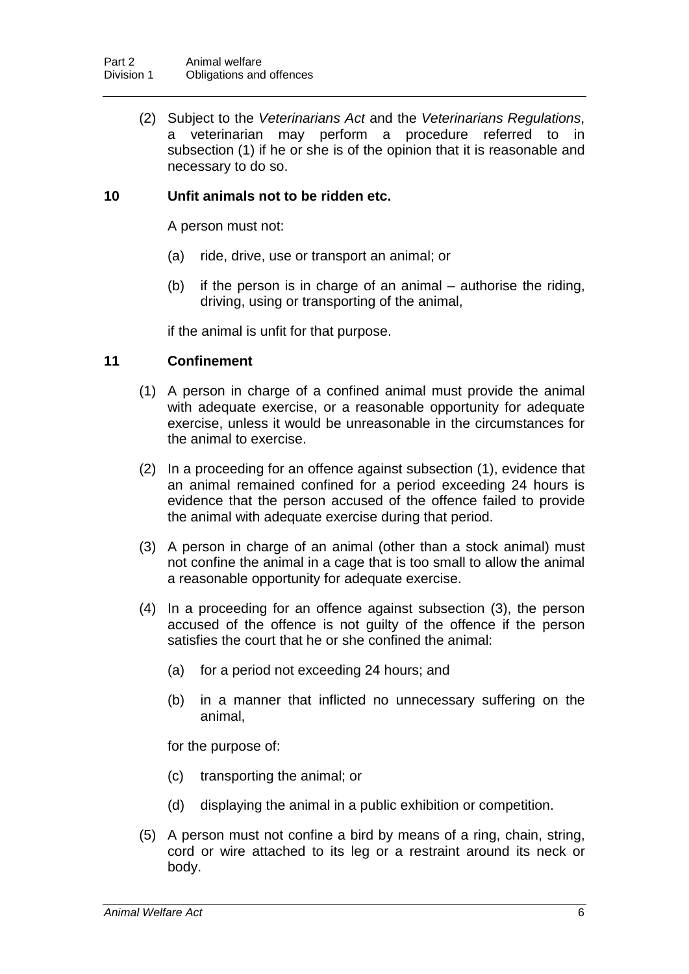(2) Subject to the *Veterinarians Act* and the *Veterinarians Regulations*, a veterinarian may perform a procedure referred to in subsection (1) if he or she is of the opinion that it is reasonable and necessary to do so.

# **10 Unfit animals not to be ridden etc.**

A person must not:

- (a) ride, drive, use or transport an animal; or
- (b) if the person is in charge of an animal authorise the riding, driving, using or transporting of the animal,

if the animal is unfit for that purpose.

# **11 Confinement**

- (1) A person in charge of a confined animal must provide the animal with adequate exercise, or a reasonable opportunity for adequate exercise, unless it would be unreasonable in the circumstances for the animal to exercise.
- (2) In a proceeding for an offence against subsection (1), evidence that an animal remained confined for a period exceeding 24 hours is evidence that the person accused of the offence failed to provide the animal with adequate exercise during that period.
- (3) A person in charge of an animal (other than a stock animal) must not confine the animal in a cage that is too small to allow the animal a reasonable opportunity for adequate exercise.
- (4) In a proceeding for an offence against subsection (3), the person accused of the offence is not guilty of the offence if the person satisfies the court that he or she confined the animal:
	- (a) for a period not exceeding 24 hours; and
	- (b) in a manner that inflicted no unnecessary suffering on the animal,

for the purpose of:

- (c) transporting the animal; or
- (d) displaying the animal in a public exhibition or competition.
- (5) A person must not confine a bird by means of a ring, chain, string, cord or wire attached to its leg or a restraint around its neck or body.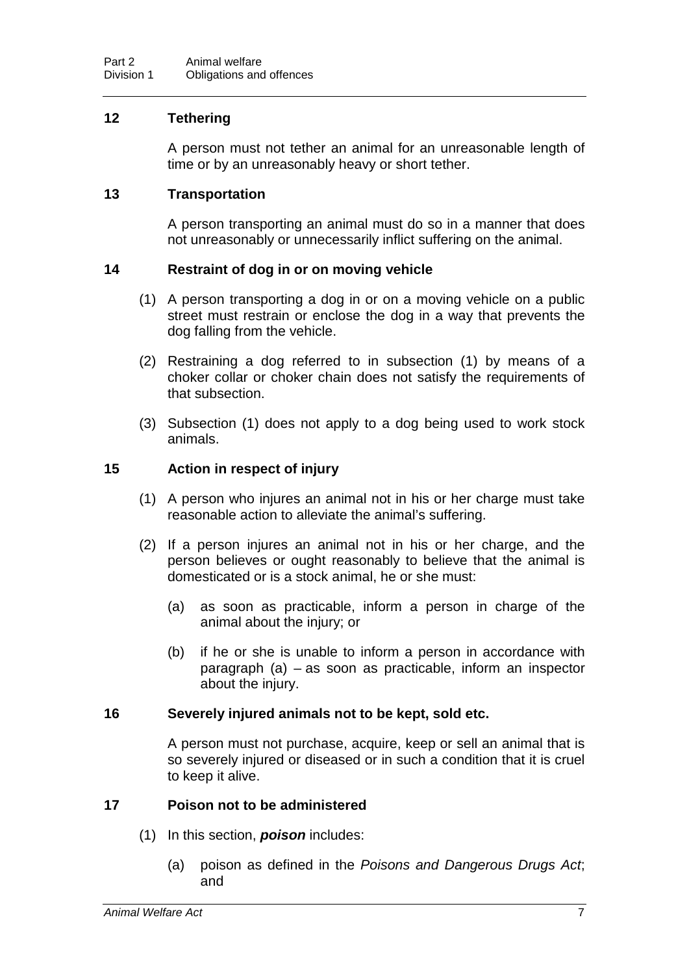# **12 Tethering**

A person must not tether an animal for an unreasonable length of time or by an unreasonably heavy or short tether.

# **13 Transportation**

A person transporting an animal must do so in a manner that does not unreasonably or unnecessarily inflict suffering on the animal.

# **14 Restraint of dog in or on moving vehicle**

- (1) A person transporting a dog in or on a moving vehicle on a public street must restrain or enclose the dog in a way that prevents the dog falling from the vehicle.
- (2) Restraining a dog referred to in subsection (1) by means of a choker collar or choker chain does not satisfy the requirements of that subsection.
- (3) Subsection (1) does not apply to a dog being used to work stock animals.

#### **15 Action in respect of injury**

- (1) A person who injures an animal not in his or her charge must take reasonable action to alleviate the animal's suffering.
- (2) If a person injures an animal not in his or her charge, and the person believes or ought reasonably to believe that the animal is domesticated or is a stock animal, he or she must:
	- (a) as soon as practicable, inform a person in charge of the animal about the injury; or
	- (b) if he or she is unable to inform a person in accordance with paragraph (a) – as soon as practicable, inform an inspector about the injury.

#### **16 Severely injured animals not to be kept, sold etc.**

A person must not purchase, acquire, keep or sell an animal that is so severely injured or diseased or in such a condition that it is cruel to keep it alive.

# **17 Poison not to be administered**

- (1) In this section, *poison* includes:
	- (a) poison as defined in the *Poisons and Dangerous Drugs Act*; and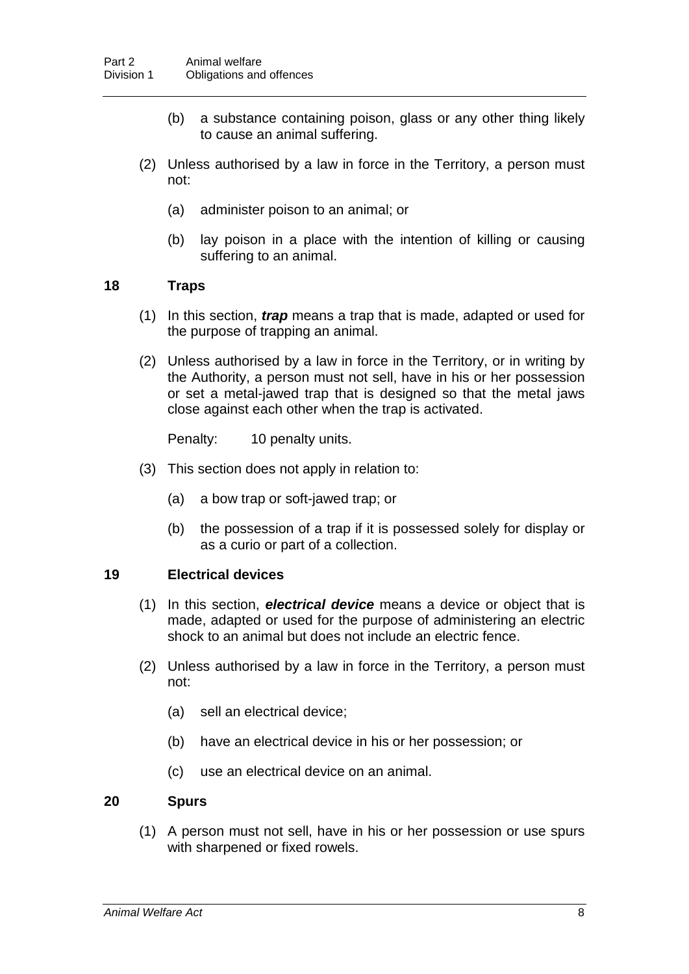- (b) a substance containing poison, glass or any other thing likely to cause an animal suffering.
- (2) Unless authorised by a law in force in the Territory, a person must not:
	- (a) administer poison to an animal; or
	- (b) lay poison in a place with the intention of killing or causing suffering to an animal.

# **18 Traps**

- (1) In this section, *trap* means a trap that is made, adapted or used for the purpose of trapping an animal.
- (2) Unless authorised by a law in force in the Territory, or in writing by the Authority, a person must not sell, have in his or her possession or set a metal-jawed trap that is designed so that the metal jaws close against each other when the trap is activated.

Penalty: 10 penalty units.

- (3) This section does not apply in relation to:
	- (a) a bow trap or soft-jawed trap; or
	- (b) the possession of a trap if it is possessed solely for display or as a curio or part of a collection.

#### **19 Electrical devices**

- (1) In this section, *electrical device* means a device or object that is made, adapted or used for the purpose of administering an electric shock to an animal but does not include an electric fence.
- (2) Unless authorised by a law in force in the Territory, a person must not:
	- (a) sell an electrical device;
	- (b) have an electrical device in his or her possession; or
	- (c) use an electrical device on an animal.

# **20 Spurs**

(1) A person must not sell, have in his or her possession or use spurs with sharpened or fixed rowels.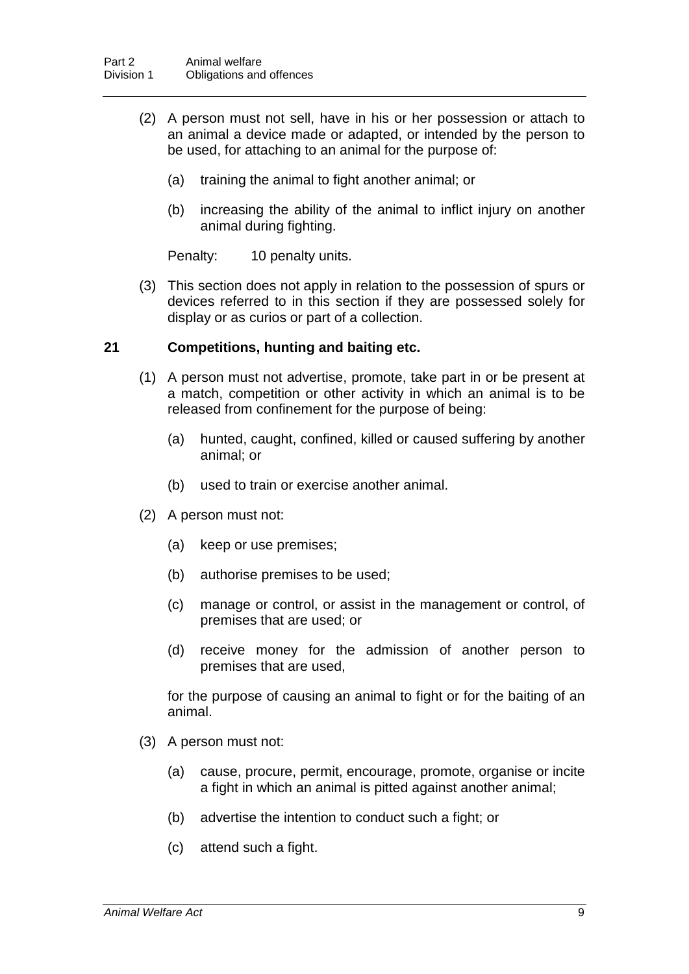- (2) A person must not sell, have in his or her possession or attach to an animal a device made or adapted, or intended by the person to be used, for attaching to an animal for the purpose of:
	- (a) training the animal to fight another animal; or
	- (b) increasing the ability of the animal to inflict injury on another animal during fighting.

Penalty: 10 penalty units.

(3) This section does not apply in relation to the possession of spurs or devices referred to in this section if they are possessed solely for display or as curios or part of a collection.

# **21 Competitions, hunting and baiting etc.**

- (1) A person must not advertise, promote, take part in or be present at a match, competition or other activity in which an animal is to be released from confinement for the purpose of being:
	- (a) hunted, caught, confined, killed or caused suffering by another animal; or
	- (b) used to train or exercise another animal.
- (2) A person must not:
	- (a) keep or use premises;
	- (b) authorise premises to be used;
	- (c) manage or control, or assist in the management or control, of premises that are used; or
	- (d) receive money for the admission of another person to premises that are used,

for the purpose of causing an animal to fight or for the baiting of an animal.

- (3) A person must not:
	- (a) cause, procure, permit, encourage, promote, organise or incite a fight in which an animal is pitted against another animal;
	- (b) advertise the intention to conduct such a fight; or
	- (c) attend such a fight.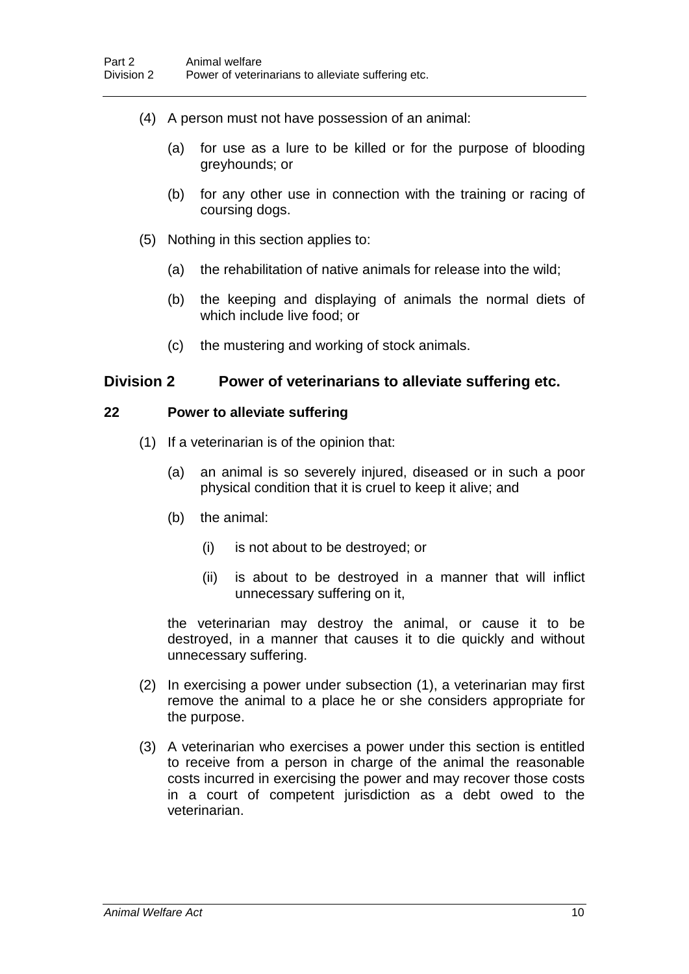- (4) A person must not have possession of an animal:
	- (a) for use as a lure to be killed or for the purpose of blooding greyhounds; or
	- (b) for any other use in connection with the training or racing of coursing dogs.
- (5) Nothing in this section applies to:
	- (a) the rehabilitation of native animals for release into the wild;
	- (b) the keeping and displaying of animals the normal diets of which include live food; or
	- (c) the mustering and working of stock animals.

# **Division 2 Power of veterinarians to alleviate suffering etc.**

#### **22 Power to alleviate suffering**

- (1) If a veterinarian is of the opinion that:
	- (a) an animal is so severely injured, diseased or in such a poor physical condition that it is cruel to keep it alive; and
	- (b) the animal:
		- (i) is not about to be destroyed; or
		- (ii) is about to be destroyed in a manner that will inflict unnecessary suffering on it,

the veterinarian may destroy the animal, or cause it to be destroyed, in a manner that causes it to die quickly and without unnecessary suffering.

- (2) In exercising a power under subsection (1), a veterinarian may first remove the animal to a place he or she considers appropriate for the purpose.
- (3) A veterinarian who exercises a power under this section is entitled to receive from a person in charge of the animal the reasonable costs incurred in exercising the power and may recover those costs in a court of competent jurisdiction as a debt owed to the veterinarian.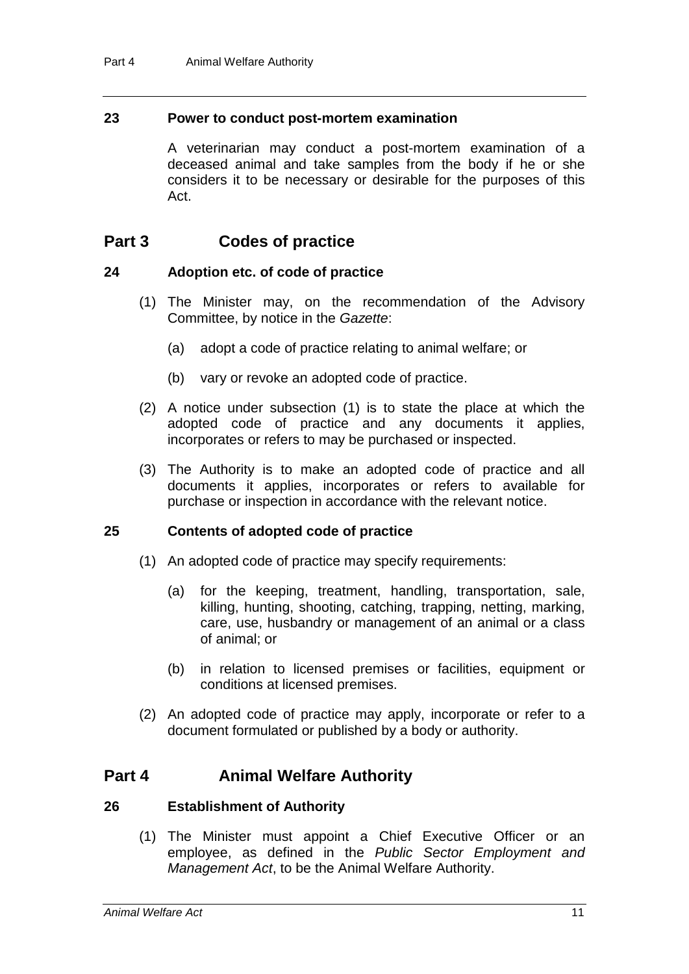### **23 Power to conduct post-mortem examination**

A veterinarian may conduct a post-mortem examination of a deceased animal and take samples from the body if he or she considers it to be necessary or desirable for the purposes of this Act.

# **Part 3 Codes of practice**

#### **24 Adoption etc. of code of practice**

- (1) The Minister may, on the recommendation of the Advisory Committee, by notice in the *Gazette*:
	- (a) adopt a code of practice relating to animal welfare; or
	- (b) vary or revoke an adopted code of practice.
- (2) A notice under subsection (1) is to state the place at which the adopted code of practice and any documents it applies, incorporates or refers to may be purchased or inspected.
- (3) The Authority is to make an adopted code of practice and all documents it applies, incorporates or refers to available for purchase or inspection in accordance with the relevant notice.

# **25 Contents of adopted code of practice**

- (1) An adopted code of practice may specify requirements:
	- (a) for the keeping, treatment, handling, transportation, sale, killing, hunting, shooting, catching, trapping, netting, marking, care, use, husbandry or management of an animal or a class of animal; or
	- (b) in relation to licensed premises or facilities, equipment or conditions at licensed premises.
- (2) An adopted code of practice may apply, incorporate or refer to a document formulated or published by a body or authority.

# **Part 4 Animal Welfare Authority**

#### **26 Establishment of Authority**

(1) The Minister must appoint a Chief Executive Officer or an employee, as defined in the *Public Sector Employment and Management Act*, to be the Animal Welfare Authority.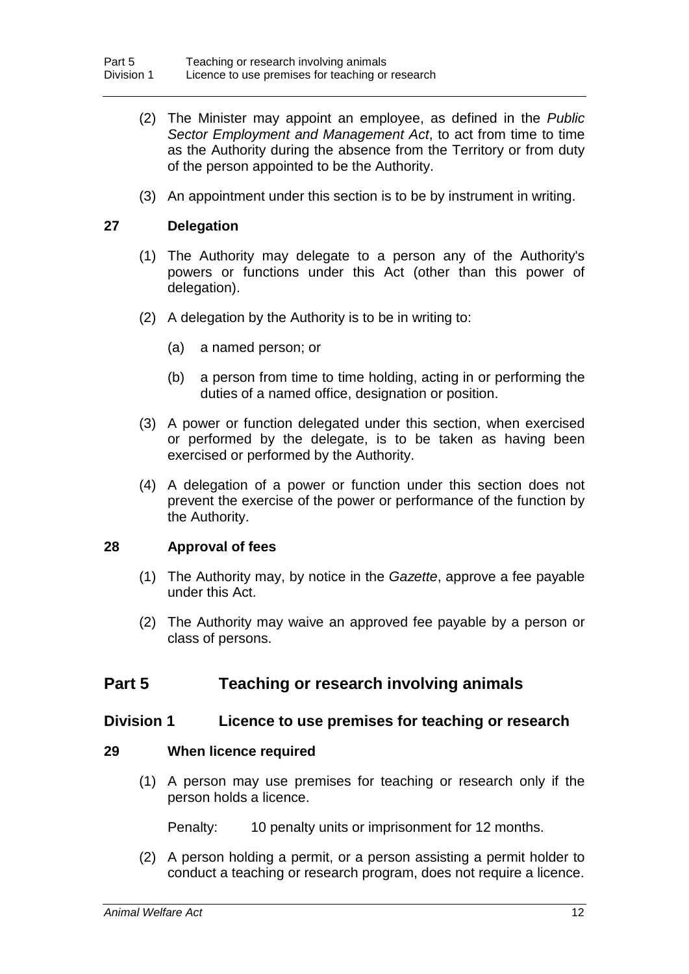- (2) The Minister may appoint an employee, as defined in the *Public Sector Employment and Management Act*, to act from time to time as the Authority during the absence from the Territory or from duty of the person appointed to be the Authority.
- (3) An appointment under this section is to be by instrument in writing.

#### **27 Delegation**

- (1) The Authority may delegate to a person any of the Authority's powers or functions under this Act (other than this power of delegation).
- (2) A delegation by the Authority is to be in writing to:
	- (a) a named person; or
	- (b) a person from time to time holding, acting in or performing the duties of a named office, designation or position.
- (3) A power or function delegated under this section, when exercised or performed by the delegate, is to be taken as having been exercised or performed by the Authority.
- (4) A delegation of a power or function under this section does not prevent the exercise of the power or performance of the function by the Authority.

# **28 Approval of fees**

- (1) The Authority may, by notice in the *Gazette*, approve a fee payable under this Act.
- (2) The Authority may waive an approved fee payable by a person or class of persons.

# **Part 5 Teaching or research involving animals**

#### **Division 1 Licence to use premises for teaching or research**

#### **29 When licence required**

(1) A person may use premises for teaching or research only if the person holds a licence.

Penalty: 10 penalty units or imprisonment for 12 months.

(2) A person holding a permit, or a person assisting a permit holder to conduct a teaching or research program, does not require a licence.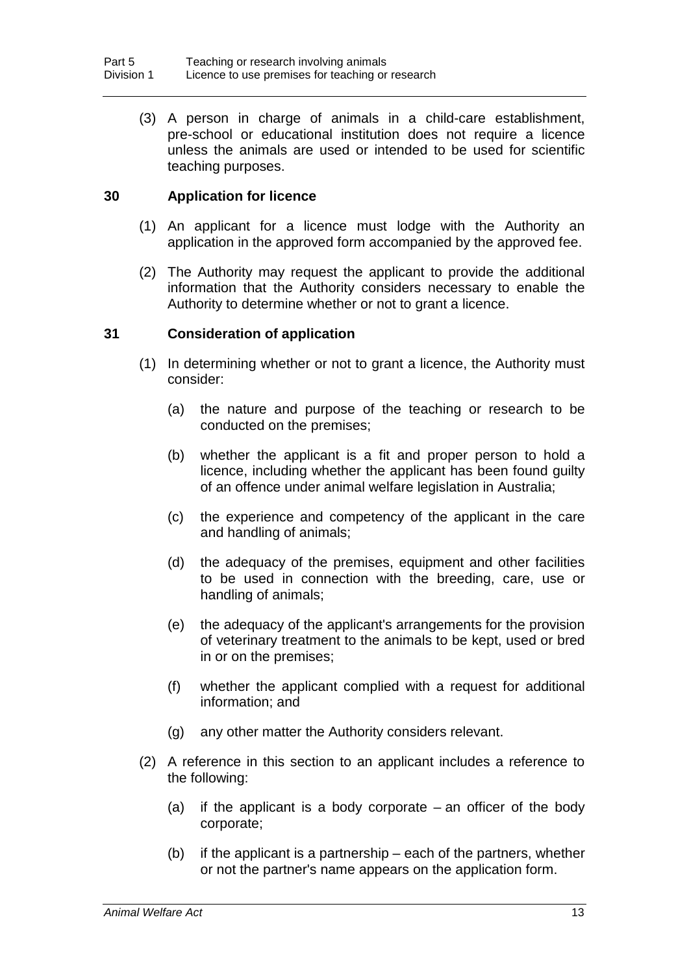(3) A person in charge of animals in a child-care establishment, pre-school or educational institution does not require a licence unless the animals are used or intended to be used for scientific teaching purposes.

# **30 Application for licence**

- (1) An applicant for a licence must lodge with the Authority an application in the approved form accompanied by the approved fee.
- (2) The Authority may request the applicant to provide the additional information that the Authority considers necessary to enable the Authority to determine whether or not to grant a licence.

# **31 Consideration of application**

- (1) In determining whether or not to grant a licence, the Authority must consider:
	- (a) the nature and purpose of the teaching or research to be conducted on the premises;
	- (b) whether the applicant is a fit and proper person to hold a licence, including whether the applicant has been found guilty of an offence under animal welfare legislation in Australia;
	- (c) the experience and competency of the applicant in the care and handling of animals;
	- (d) the adequacy of the premises, equipment and other facilities to be used in connection with the breeding, care, use or handling of animals;
	- (e) the adequacy of the applicant's arrangements for the provision of veterinary treatment to the animals to be kept, used or bred in or on the premises;
	- (f) whether the applicant complied with a request for additional information; and
	- (g) any other matter the Authority considers relevant.
- (2) A reference in this section to an applicant includes a reference to the following:
	- (a) if the applicant is a body corporate an officer of the body corporate;
	- (b) if the applicant is a partnership each of the partners, whether or not the partner's name appears on the application form.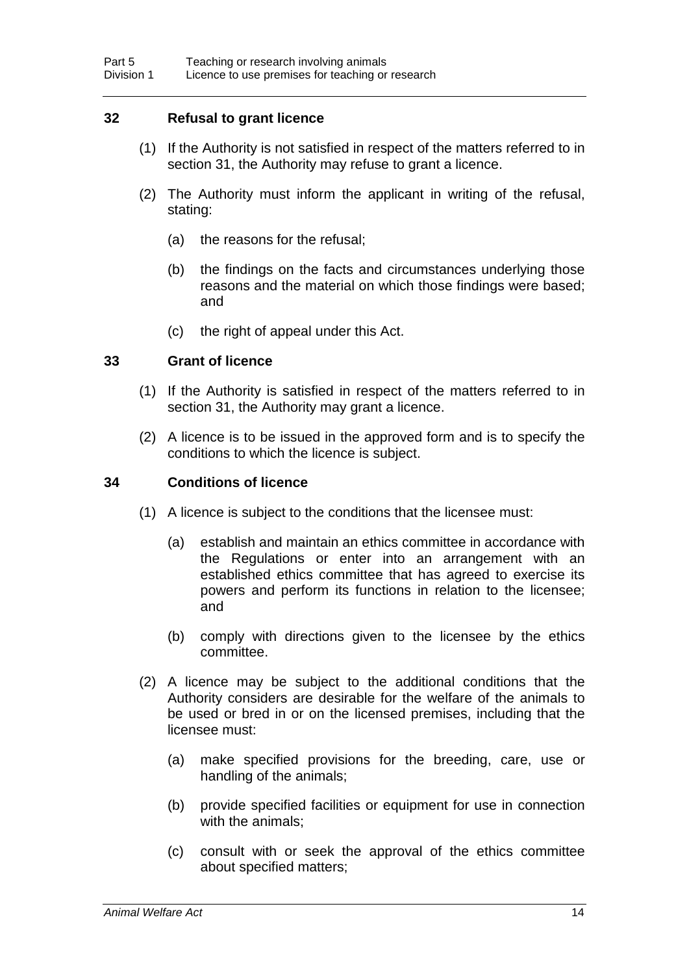# **32 Refusal to grant licence**

- (1) If the Authority is not satisfied in respect of the matters referred to in section 31, the Authority may refuse to grant a licence.
- (2) The Authority must inform the applicant in writing of the refusal, stating:
	- (a) the reasons for the refusal;
	- (b) the findings on the facts and circumstances underlying those reasons and the material on which those findings were based; and
	- (c) the right of appeal under this Act.

# **33 Grant of licence**

- (1) If the Authority is satisfied in respect of the matters referred to in section 31, the Authority may grant a licence.
- (2) A licence is to be issued in the approved form and is to specify the conditions to which the licence is subject.

### **34 Conditions of licence**

- (1) A licence is subject to the conditions that the licensee must:
	- (a) establish and maintain an ethics committee in accordance with the Regulations or enter into an arrangement with an established ethics committee that has agreed to exercise its powers and perform its functions in relation to the licensee; and
	- (b) comply with directions given to the licensee by the ethics committee.
- (2) A licence may be subject to the additional conditions that the Authority considers are desirable for the welfare of the animals to be used or bred in or on the licensed premises, including that the licensee must:
	- (a) make specified provisions for the breeding, care, use or handling of the animals;
	- (b) provide specified facilities or equipment for use in connection with the animals;
	- (c) consult with or seek the approval of the ethics committee about specified matters;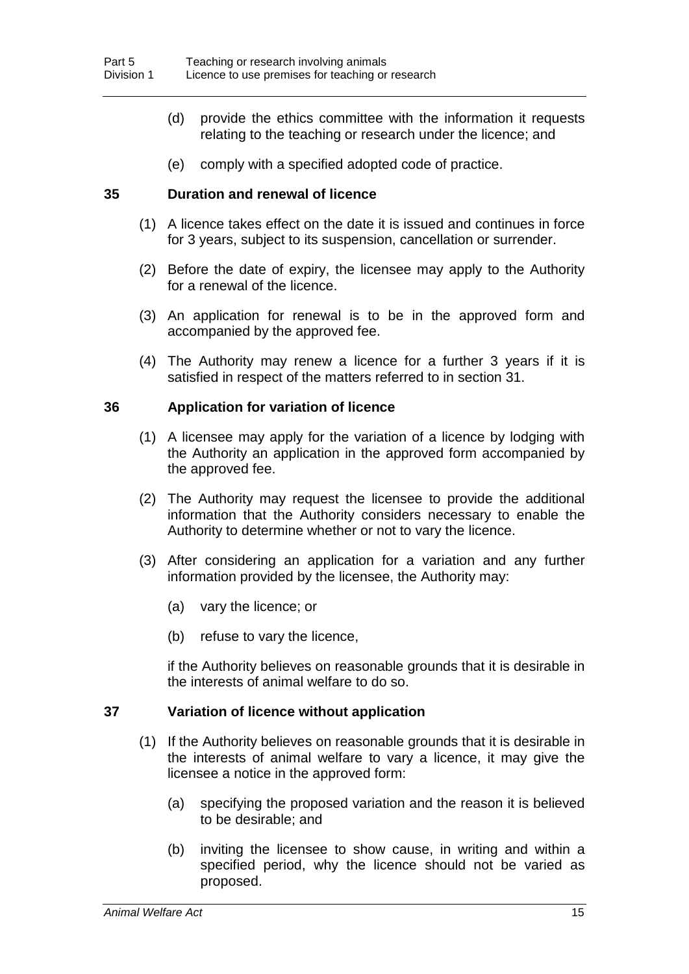- (d) provide the ethics committee with the information it requests relating to the teaching or research under the licence; and
- (e) comply with a specified adopted code of practice.

#### **35 Duration and renewal of licence**

- (1) A licence takes effect on the date it is issued and continues in force for 3 years, subject to its suspension, cancellation or surrender.
- (2) Before the date of expiry, the licensee may apply to the Authority for a renewal of the licence.
- (3) An application for renewal is to be in the approved form and accompanied by the approved fee.
- (4) The Authority may renew a licence for a further 3 years if it is satisfied in respect of the matters referred to in section 31.

#### **36 Application for variation of licence**

- (1) A licensee may apply for the variation of a licence by lodging with the Authority an application in the approved form accompanied by the approved fee.
- (2) The Authority may request the licensee to provide the additional information that the Authority considers necessary to enable the Authority to determine whether or not to vary the licence.
- (3) After considering an application for a variation and any further information provided by the licensee, the Authority may:
	- (a) vary the licence; or
	- (b) refuse to vary the licence,

if the Authority believes on reasonable grounds that it is desirable in the interests of animal welfare to do so.

#### **37 Variation of licence without application**

- (1) If the Authority believes on reasonable grounds that it is desirable in the interests of animal welfare to vary a licence, it may give the licensee a notice in the approved form:
	- (a) specifying the proposed variation and the reason it is believed to be desirable; and
	- (b) inviting the licensee to show cause, in writing and within a specified period, why the licence should not be varied as proposed.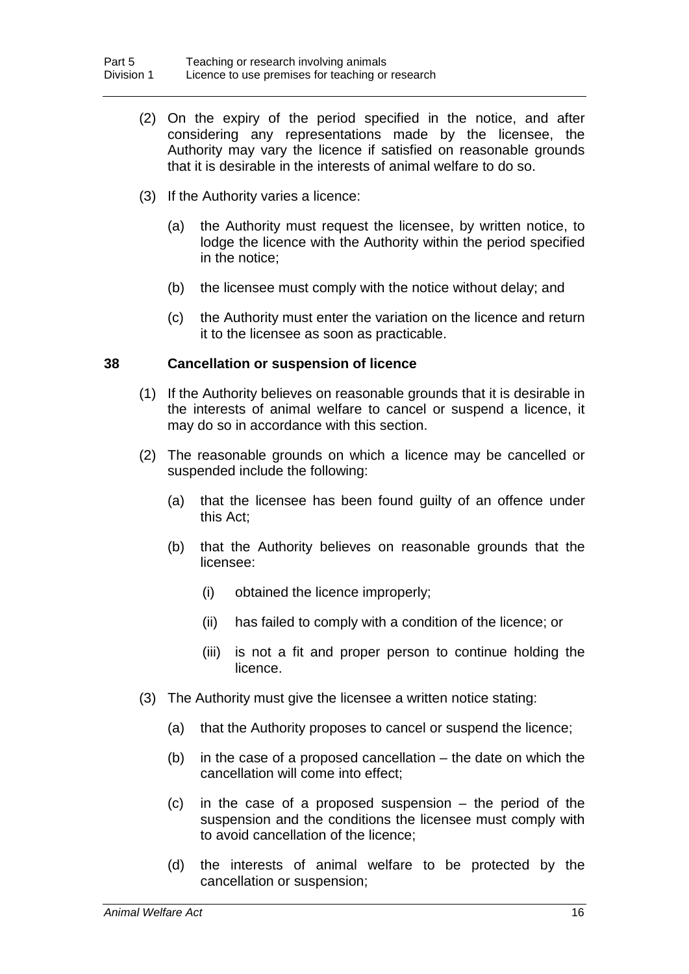- (2) On the expiry of the period specified in the notice, and after considering any representations made by the licensee, the Authority may vary the licence if satisfied on reasonable grounds that it is desirable in the interests of animal welfare to do so.
- (3) If the Authority varies a licence:
	- (a) the Authority must request the licensee, by written notice, to lodge the licence with the Authority within the period specified in the notice;
	- (b) the licensee must comply with the notice without delay; and
	- (c) the Authority must enter the variation on the licence and return it to the licensee as soon as practicable.

#### **38 Cancellation or suspension of licence**

- (1) If the Authority believes on reasonable grounds that it is desirable in the interests of animal welfare to cancel or suspend a licence, it may do so in accordance with this section.
- (2) The reasonable grounds on which a licence may be cancelled or suspended include the following:
	- (a) that the licensee has been found guilty of an offence under this Act;
	- (b) that the Authority believes on reasonable grounds that the licensee:
		- (i) obtained the licence improperly;
		- (ii) has failed to comply with a condition of the licence; or
		- (iii) is not a fit and proper person to continue holding the licence.
- (3) The Authority must give the licensee a written notice stating:
	- (a) that the Authority proposes to cancel or suspend the licence;
	- (b) in the case of a proposed cancellation the date on which the cancellation will come into effect;
	- (c) in the case of a proposed suspension the period of the suspension and the conditions the licensee must comply with to avoid cancellation of the licence;
	- (d) the interests of animal welfare to be protected by the cancellation or suspension;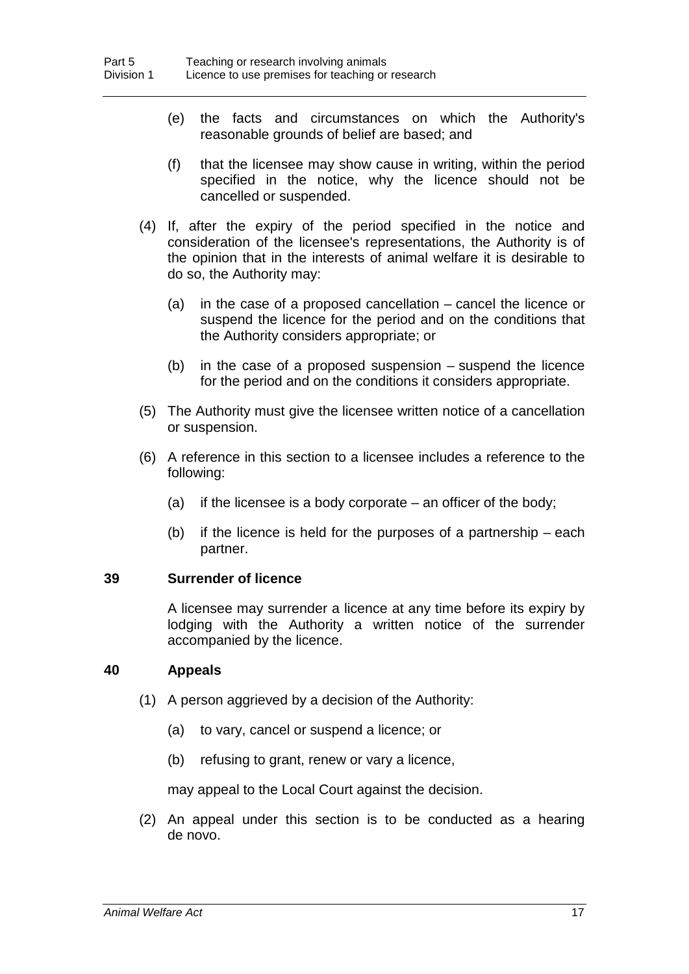- (e) the facts and circumstances on which the Authority's reasonable grounds of belief are based; and
- (f) that the licensee may show cause in writing, within the period specified in the notice, why the licence should not be cancelled or suspended.
- (4) If, after the expiry of the period specified in the notice and consideration of the licensee's representations, the Authority is of the opinion that in the interests of animal welfare it is desirable to do so, the Authority may:
	- (a) in the case of a proposed cancellation cancel the licence or suspend the licence for the period and on the conditions that the Authority considers appropriate; or
	- (b) in the case of a proposed suspension suspend the licence for the period and on the conditions it considers appropriate.
- (5) The Authority must give the licensee written notice of a cancellation or suspension.
- (6) A reference in this section to a licensee includes a reference to the following:
	- (a) if the licensee is a body corporate  $-$  an officer of the body;
	- (b) if the licence is held for the purposes of a partnership each partner.

#### **39 Surrender of licence**

A licensee may surrender a licence at any time before its expiry by lodging with the Authority a written notice of the surrender accompanied by the licence.

# **40 Appeals**

- (1) A person aggrieved by a decision of the Authority:
	- (a) to vary, cancel or suspend a licence; or
	- (b) refusing to grant, renew or vary a licence,

may appeal to the Local Court against the decision.

(2) An appeal under this section is to be conducted as a hearing de novo.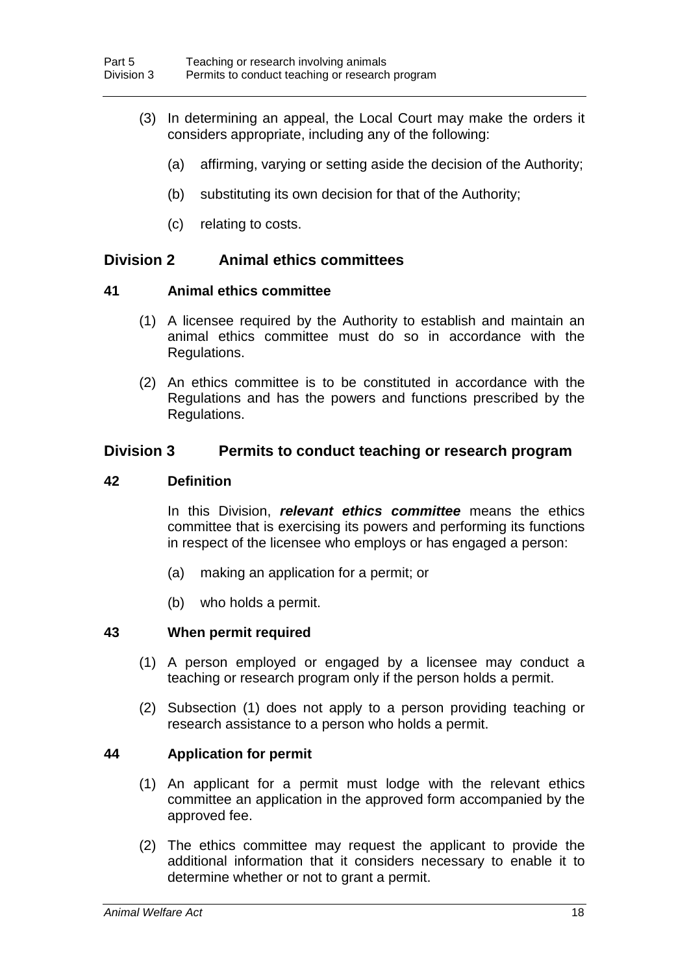- (3) In determining an appeal, the Local Court may make the orders it considers appropriate, including any of the following:
	- (a) affirming, varying or setting aside the decision of the Authority;
	- (b) substituting its own decision for that of the Authority;
	- (c) relating to costs.

# **Division 2 Animal ethics committees**

#### **41 Animal ethics committee**

- (1) A licensee required by the Authority to establish and maintain an animal ethics committee must do so in accordance with the Regulations.
- (2) An ethics committee is to be constituted in accordance with the Regulations and has the powers and functions prescribed by the Regulations.

# **Division 3 Permits to conduct teaching or research program**

#### **42 Definition**

In this Division, *relevant ethics committee* means the ethics committee that is exercising its powers and performing its functions in respect of the licensee who employs or has engaged a person:

- (a) making an application for a permit; or
- (b) who holds a permit.

# **43 When permit required**

- (1) A person employed or engaged by a licensee may conduct a teaching or research program only if the person holds a permit.
- (2) Subsection (1) does not apply to a person providing teaching or research assistance to a person who holds a permit.

# **44 Application for permit**

- (1) An applicant for a permit must lodge with the relevant ethics committee an application in the approved form accompanied by the approved fee.
- (2) The ethics committee may request the applicant to provide the additional information that it considers necessary to enable it to determine whether or not to grant a permit.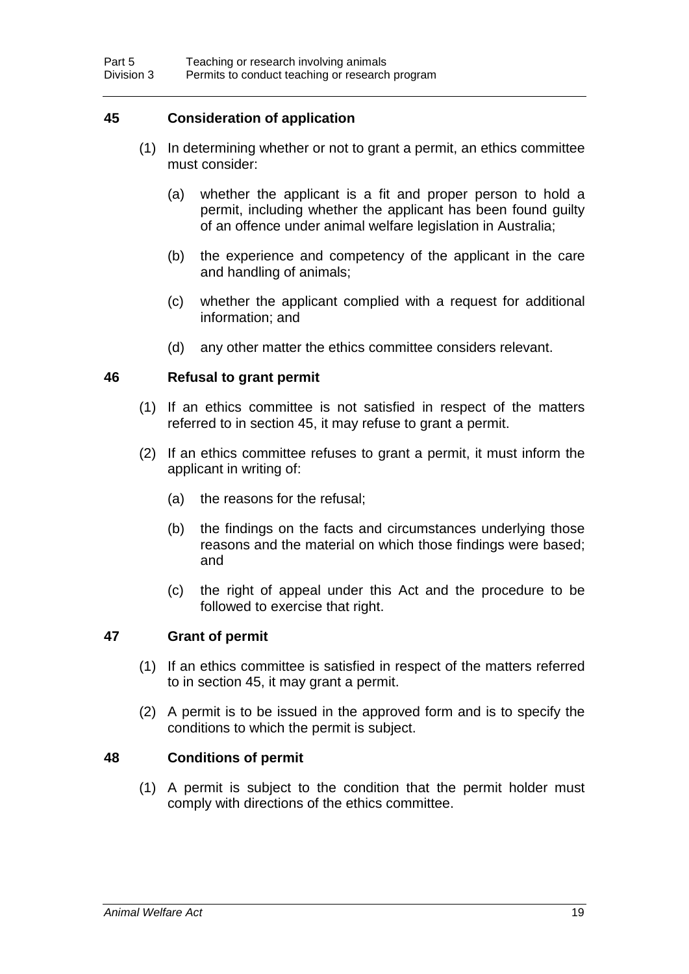# **45 Consideration of application**

- (1) In determining whether or not to grant a permit, an ethics committee must consider:
	- (a) whether the applicant is a fit and proper person to hold a permit, including whether the applicant has been found guilty of an offence under animal welfare legislation in Australia;
	- (b) the experience and competency of the applicant in the care and handling of animals;
	- (c) whether the applicant complied with a request for additional information; and
	- (d) any other matter the ethics committee considers relevant.

# **46 Refusal to grant permit**

- (1) If an ethics committee is not satisfied in respect of the matters referred to in section 45, it may refuse to grant a permit.
- (2) If an ethics committee refuses to grant a permit, it must inform the applicant in writing of:
	- (a) the reasons for the refusal;
	- (b) the findings on the facts and circumstances underlying those reasons and the material on which those findings were based; and
	- (c) the right of appeal under this Act and the procedure to be followed to exercise that right.

# **47 Grant of permit**

- (1) If an ethics committee is satisfied in respect of the matters referred to in section 45, it may grant a permit.
- (2) A permit is to be issued in the approved form and is to specify the conditions to which the permit is subject.

# **48 Conditions of permit**

(1) A permit is subject to the condition that the permit holder must comply with directions of the ethics committee.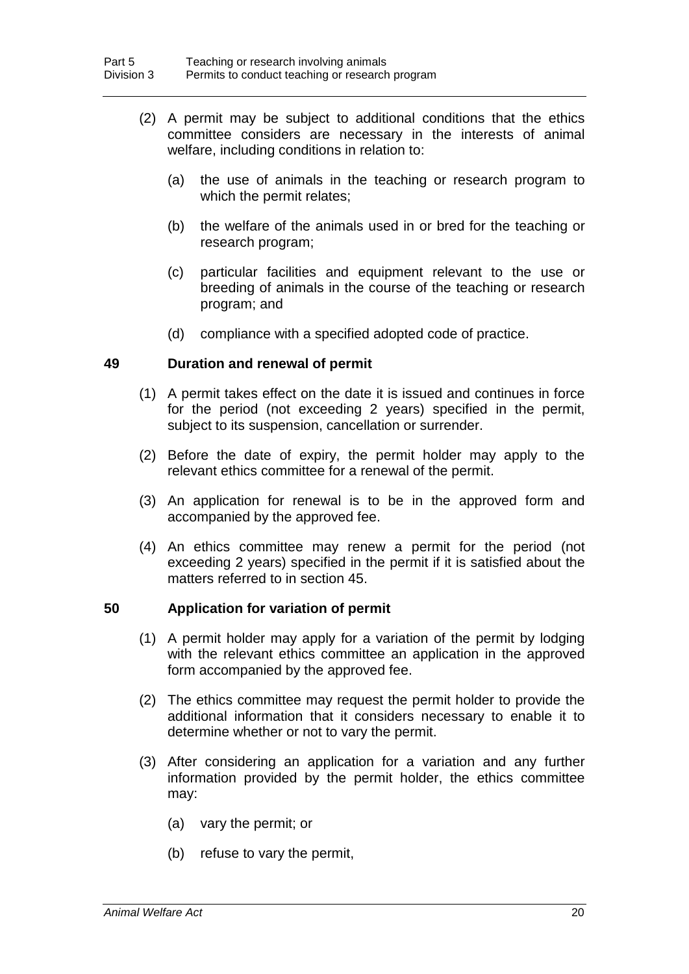- (2) A permit may be subject to additional conditions that the ethics committee considers are necessary in the interests of animal welfare, including conditions in relation to:
	- (a) the use of animals in the teaching or research program to which the permit relates;
	- (b) the welfare of the animals used in or bred for the teaching or research program;
	- (c) particular facilities and equipment relevant to the use or breeding of animals in the course of the teaching or research program; and
	- (d) compliance with a specified adopted code of practice.

#### **49 Duration and renewal of permit**

- (1) A permit takes effect on the date it is issued and continues in force for the period (not exceeding 2 years) specified in the permit, subject to its suspension, cancellation or surrender.
- (2) Before the date of expiry, the permit holder may apply to the relevant ethics committee for a renewal of the permit.
- (3) An application for renewal is to be in the approved form and accompanied by the approved fee.
- (4) An ethics committee may renew a permit for the period (not exceeding 2 years) specified in the permit if it is satisfied about the matters referred to in section 45.

#### **50 Application for variation of permit**

- (1) A permit holder may apply for a variation of the permit by lodging with the relevant ethics committee an application in the approved form accompanied by the approved fee.
- (2) The ethics committee may request the permit holder to provide the additional information that it considers necessary to enable it to determine whether or not to vary the permit.
- (3) After considering an application for a variation and any further information provided by the permit holder, the ethics committee may:
	- (a) vary the permit; or
	- (b) refuse to vary the permit,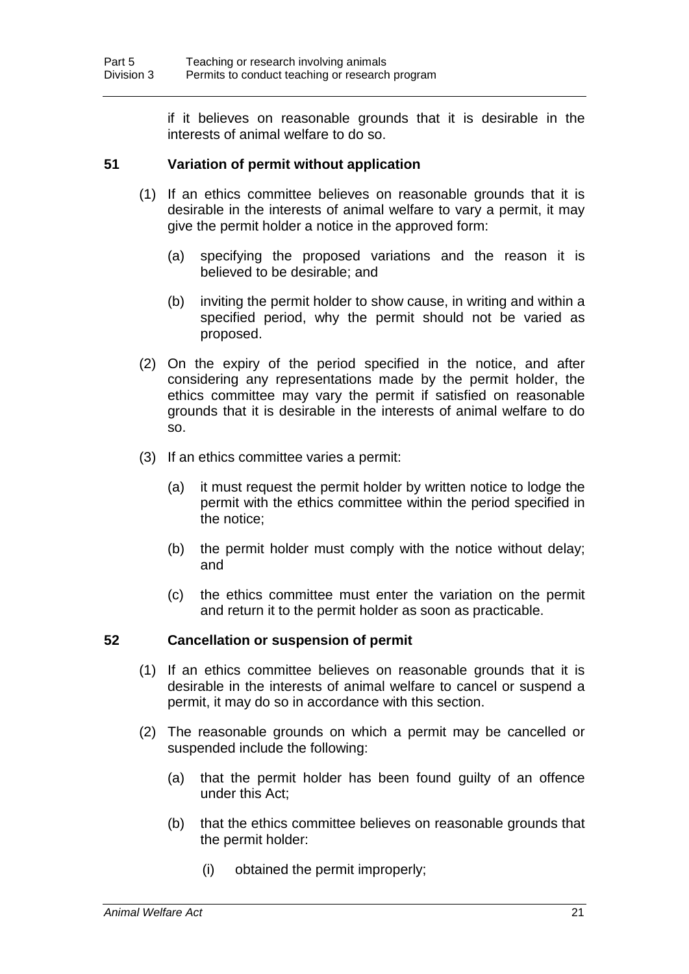if it believes on reasonable grounds that it is desirable in the interests of animal welfare to do so.

# **51 Variation of permit without application**

- (1) If an ethics committee believes on reasonable grounds that it is desirable in the interests of animal welfare to vary a permit, it may give the permit holder a notice in the approved form:
	- (a) specifying the proposed variations and the reason it is believed to be desirable; and
	- (b) inviting the permit holder to show cause, in writing and within a specified period, why the permit should not be varied as proposed.
- (2) On the expiry of the period specified in the notice, and after considering any representations made by the permit holder, the ethics committee may vary the permit if satisfied on reasonable grounds that it is desirable in the interests of animal welfare to do so.
- (3) If an ethics committee varies a permit:
	- (a) it must request the permit holder by written notice to lodge the permit with the ethics committee within the period specified in the notice;
	- (b) the permit holder must comply with the notice without delay; and
	- (c) the ethics committee must enter the variation on the permit and return it to the permit holder as soon as practicable.

# **52 Cancellation or suspension of permit**

- (1) If an ethics committee believes on reasonable grounds that it is desirable in the interests of animal welfare to cancel or suspend a permit, it may do so in accordance with this section.
- (2) The reasonable grounds on which a permit may be cancelled or suspended include the following:
	- (a) that the permit holder has been found guilty of an offence under this Act;
	- (b) that the ethics committee believes on reasonable grounds that the permit holder:
		- (i) obtained the permit improperly;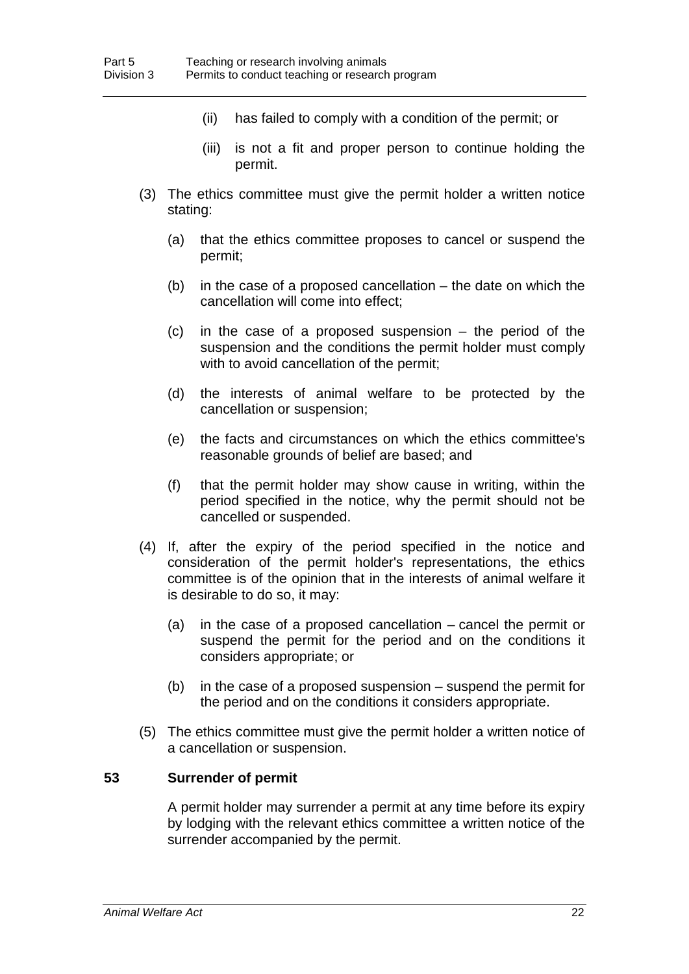- (ii) has failed to comply with a condition of the permit; or
- (iii) is not a fit and proper person to continue holding the permit.
- (3) The ethics committee must give the permit holder a written notice stating:
	- (a) that the ethics committee proposes to cancel or suspend the permit;
	- (b) in the case of a proposed cancellation the date on which the cancellation will come into effect;
	- (c) in the case of a proposed suspension the period of the suspension and the conditions the permit holder must comply with to avoid cancellation of the permit;
	- (d) the interests of animal welfare to be protected by the cancellation or suspension;
	- (e) the facts and circumstances on which the ethics committee's reasonable grounds of belief are based; and
	- (f) that the permit holder may show cause in writing, within the period specified in the notice, why the permit should not be cancelled or suspended.
- (4) If, after the expiry of the period specified in the notice and consideration of the permit holder's representations, the ethics committee is of the opinion that in the interests of animal welfare it is desirable to do so, it may:
	- (a) in the case of a proposed cancellation cancel the permit or suspend the permit for the period and on the conditions it considers appropriate; or
	- (b) in the case of a proposed suspension suspend the permit for the period and on the conditions it considers appropriate.
- (5) The ethics committee must give the permit holder a written notice of a cancellation or suspension.

### **53 Surrender of permit**

A permit holder may surrender a permit at any time before its expiry by lodging with the relevant ethics committee a written notice of the surrender accompanied by the permit.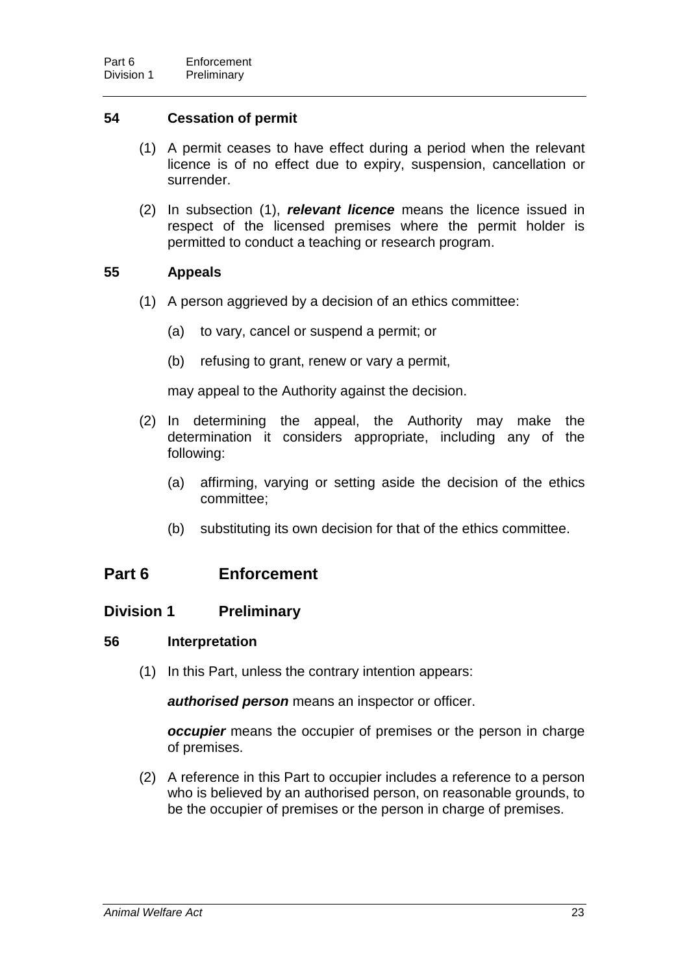# **54 Cessation of permit**

- (1) A permit ceases to have effect during a period when the relevant licence is of no effect due to expiry, suspension, cancellation or surrender.
- (2) In subsection (1), *relevant licence* means the licence issued in respect of the licensed premises where the permit holder is permitted to conduct a teaching or research program.

# **55 Appeals**

- (1) A person aggrieved by a decision of an ethics committee:
	- (a) to vary, cancel or suspend a permit; or
	- (b) refusing to grant, renew or vary a permit,

may appeal to the Authority against the decision.

- (2) In determining the appeal, the Authority may make the determination it considers appropriate, including any of the following:
	- (a) affirming, varying or setting aside the decision of the ethics committee;
	- (b) substituting its own decision for that of the ethics committee.

# **Part 6 Enforcement**

# **Division 1 Preliminary**

# **56 Interpretation**

(1) In this Part, unless the contrary intention appears:

*authorised person* means an inspector or officer.

*occupier* means the occupier of premises or the person in charge of premises.

(2) A reference in this Part to occupier includes a reference to a person who is believed by an authorised person, on reasonable grounds, to be the occupier of premises or the person in charge of premises.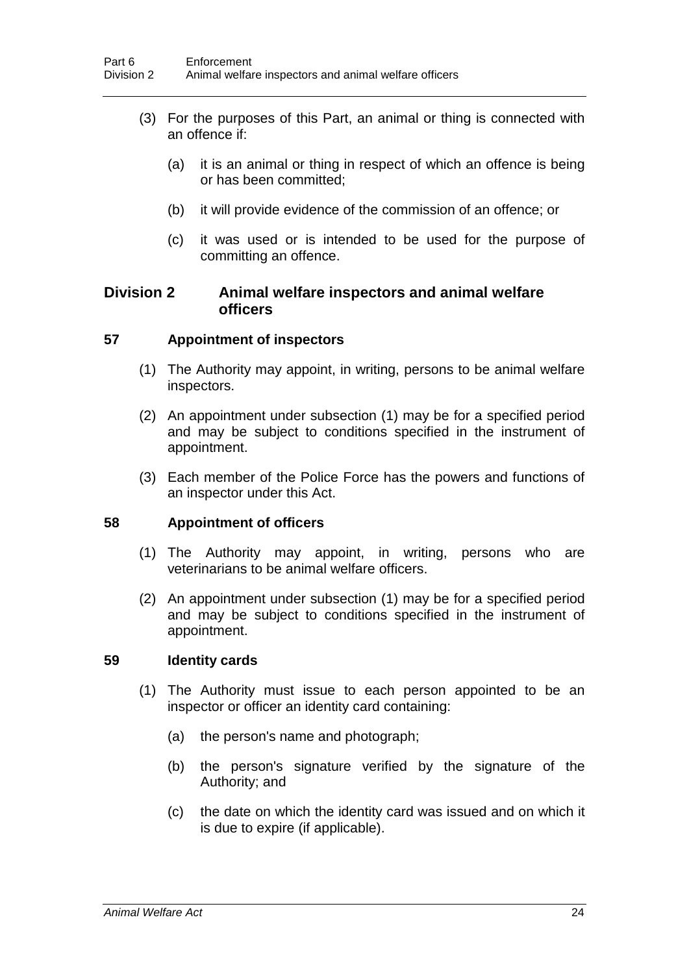- (3) For the purposes of this Part, an animal or thing is connected with an offence if:
	- (a) it is an animal or thing in respect of which an offence is being or has been committed;
	- (b) it will provide evidence of the commission of an offence; or
	- (c) it was used or is intended to be used for the purpose of committing an offence.

# **Division 2 Animal welfare inspectors and animal welfare officers**

# **57 Appointment of inspectors**

- (1) The Authority may appoint, in writing, persons to be animal welfare inspectors.
- (2) An appointment under subsection (1) may be for a specified period and may be subject to conditions specified in the instrument of appointment.
- (3) Each member of the Police Force has the powers and functions of an inspector under this Act.

# **58 Appointment of officers**

- (1) The Authority may appoint, in writing, persons who are veterinarians to be animal welfare officers.
- (2) An appointment under subsection (1) may be for a specified period and may be subject to conditions specified in the instrument of appointment.

# **59 Identity cards**

- (1) The Authority must issue to each person appointed to be an inspector or officer an identity card containing:
	- (a) the person's name and photograph;
	- (b) the person's signature verified by the signature of the Authority; and
	- (c) the date on which the identity card was issued and on which it is due to expire (if applicable).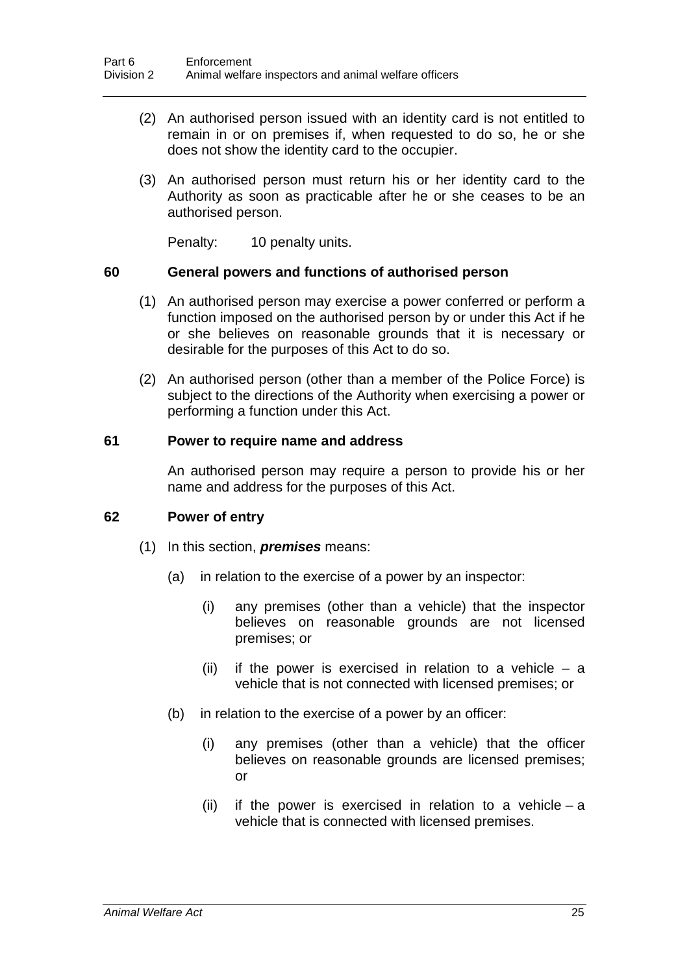- (2) An authorised person issued with an identity card is not entitled to remain in or on premises if, when requested to do so, he or she does not show the identity card to the occupier.
- (3) An authorised person must return his or her identity card to the Authority as soon as practicable after he or she ceases to be an authorised person.

Penalty: 10 penalty units.

#### **60 General powers and functions of authorised person**

- (1) An authorised person may exercise a power conferred or perform a function imposed on the authorised person by or under this Act if he or she believes on reasonable grounds that it is necessary or desirable for the purposes of this Act to do so.
- (2) An authorised person (other than a member of the Police Force) is subject to the directions of the Authority when exercising a power or performing a function under this Act.

#### **61 Power to require name and address**

An authorised person may require a person to provide his or her name and address for the purposes of this Act.

# **62 Power of entry**

- (1) In this section, *premises* means:
	- (a) in relation to the exercise of a power by an inspector:
		- (i) any premises (other than a vehicle) that the inspector believes on reasonable grounds are not licensed premises; or
		- (ii) if the power is exercised in relation to a vehicle  $-$  a vehicle that is not connected with licensed premises; or
	- (b) in relation to the exercise of a power by an officer:
		- (i) any premises (other than a vehicle) that the officer believes on reasonable grounds are licensed premises; or
		- (ii) if the power is exercised in relation to a vehicle a vehicle that is connected with licensed premises.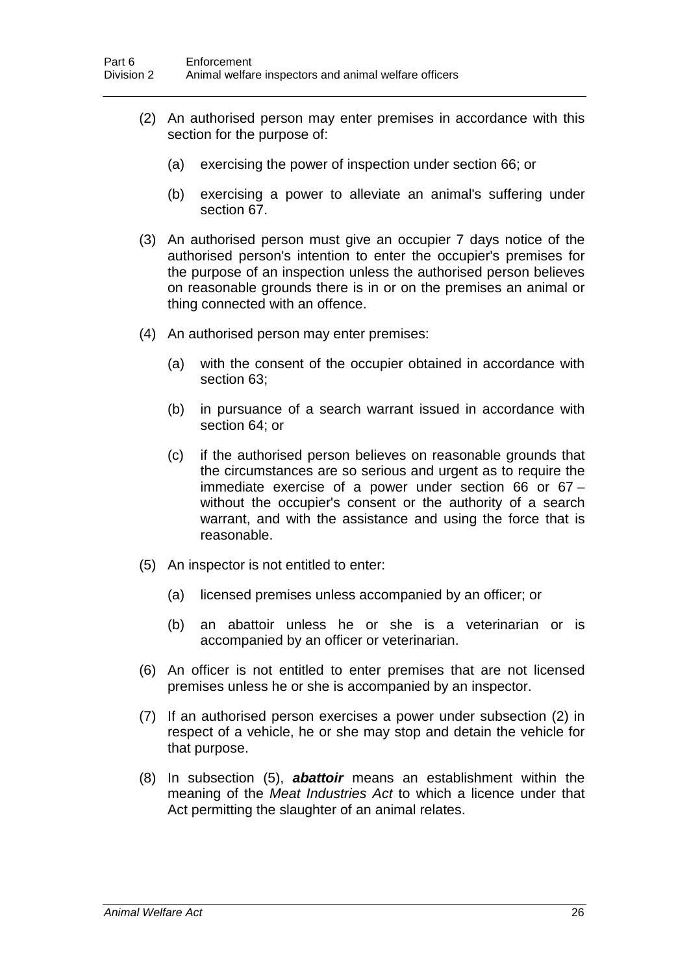- (2) An authorised person may enter premises in accordance with this section for the purpose of:
	- (a) exercising the power of inspection under section 66; or
	- (b) exercising a power to alleviate an animal's suffering under section 67.
- (3) An authorised person must give an occupier 7 days notice of the authorised person's intention to enter the occupier's premises for the purpose of an inspection unless the authorised person believes on reasonable grounds there is in or on the premises an animal or thing connected with an offence.
- (4) An authorised person may enter premises:
	- (a) with the consent of the occupier obtained in accordance with section 63;
	- (b) in pursuance of a search warrant issued in accordance with section 64; or
	- (c) if the authorised person believes on reasonable grounds that the circumstances are so serious and urgent as to require the immediate exercise of a power under section 66 or 67 – without the occupier's consent or the authority of a search warrant, and with the assistance and using the force that is reasonable.
- (5) An inspector is not entitled to enter:
	- (a) licensed premises unless accompanied by an officer; or
	- (b) an abattoir unless he or she is a veterinarian or is accompanied by an officer or veterinarian.
- (6) An officer is not entitled to enter premises that are not licensed premises unless he or she is accompanied by an inspector.
- (7) If an authorised person exercises a power under subsection (2) in respect of a vehicle, he or she may stop and detain the vehicle for that purpose.
- (8) In subsection (5), *abattoir* means an establishment within the meaning of the *Meat Industries Act* to which a licence under that Act permitting the slaughter of an animal relates.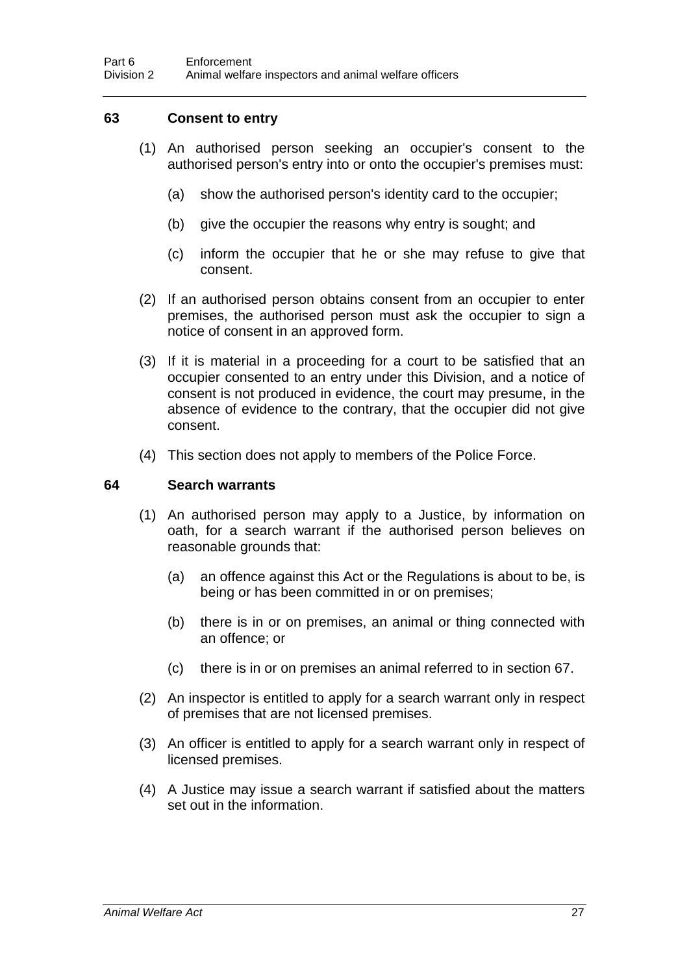# **63 Consent to entry**

- (1) An authorised person seeking an occupier's consent to the authorised person's entry into or onto the occupier's premises must:
	- (a) show the authorised person's identity card to the occupier;
	- (b) give the occupier the reasons why entry is sought; and
	- (c) inform the occupier that he or she may refuse to give that consent.
- (2) If an authorised person obtains consent from an occupier to enter premises, the authorised person must ask the occupier to sign a notice of consent in an approved form.
- (3) If it is material in a proceeding for a court to be satisfied that an occupier consented to an entry under this Division, and a notice of consent is not produced in evidence, the court may presume, in the absence of evidence to the contrary, that the occupier did not give consent.
- (4) This section does not apply to members of the Police Force.

### **64 Search warrants**

- (1) An authorised person may apply to a Justice, by information on oath, for a search warrant if the authorised person believes on reasonable grounds that:
	- (a) an offence against this Act or the Regulations is about to be, is being or has been committed in or on premises;
	- (b) there is in or on premises, an animal or thing connected with an offence; or
	- (c) there is in or on premises an animal referred to in section 67.
- (2) An inspector is entitled to apply for a search warrant only in respect of premises that are not licensed premises.
- (3) An officer is entitled to apply for a search warrant only in respect of licensed premises.
- (4) A Justice may issue a search warrant if satisfied about the matters set out in the information.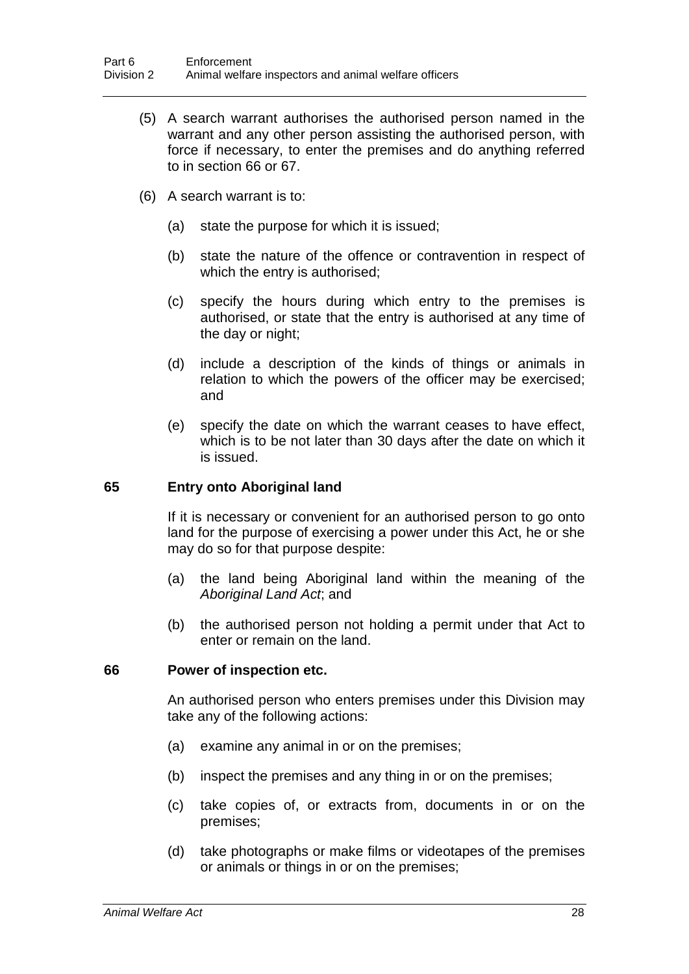- (5) A search warrant authorises the authorised person named in the warrant and any other person assisting the authorised person, with force if necessary, to enter the premises and do anything referred to in section 66 or 67.
- (6) A search warrant is to:
	- (a) state the purpose for which it is issued;
	- (b) state the nature of the offence or contravention in respect of which the entry is authorised;
	- (c) specify the hours during which entry to the premises is authorised, or state that the entry is authorised at any time of the day or night;
	- (d) include a description of the kinds of things or animals in relation to which the powers of the officer may be exercised; and
	- (e) specify the date on which the warrant ceases to have effect, which is to be not later than 30 days after the date on which it is issued.

# **65 Entry onto Aboriginal land**

If it is necessary or convenient for an authorised person to go onto land for the purpose of exercising a power under this Act, he or she may do so for that purpose despite:

- (a) the land being Aboriginal land within the meaning of the *Aboriginal Land Act*; and
- (b) the authorised person not holding a permit under that Act to enter or remain on the land.

#### **66 Power of inspection etc.**

An authorised person who enters premises under this Division may take any of the following actions:

- (a) examine any animal in or on the premises;
- (b) inspect the premises and any thing in or on the premises;
- (c) take copies of, or extracts from, documents in or on the premises;
- (d) take photographs or make films or videotapes of the premises or animals or things in or on the premises;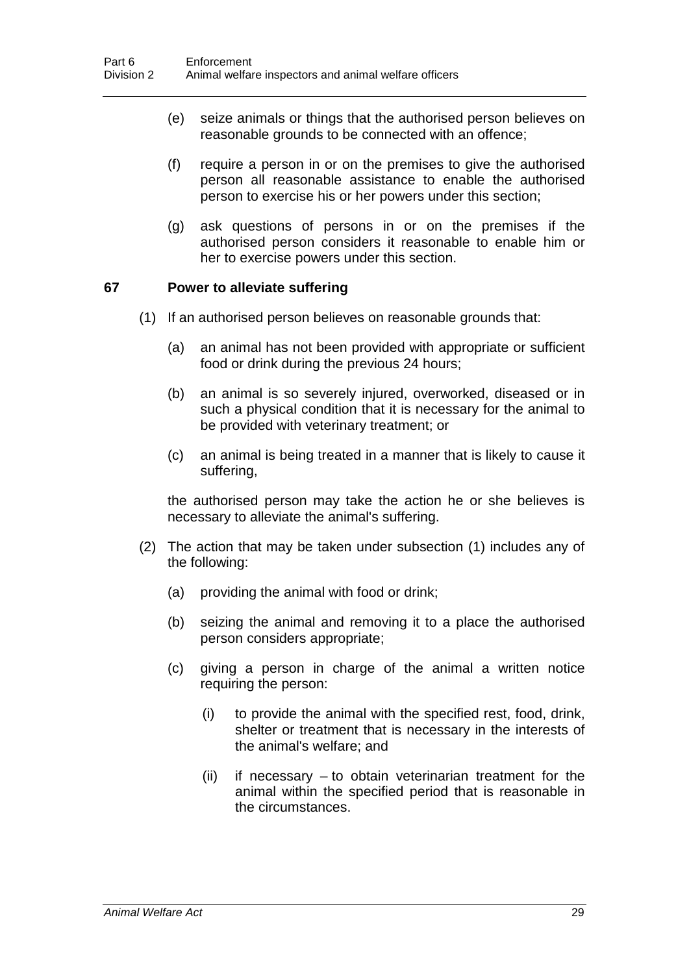- (e) seize animals or things that the authorised person believes on reasonable grounds to be connected with an offence;
- (f) require a person in or on the premises to give the authorised person all reasonable assistance to enable the authorised person to exercise his or her powers under this section;
- (g) ask questions of persons in or on the premises if the authorised person considers it reasonable to enable him or her to exercise powers under this section.

# **67 Power to alleviate suffering**

- (1) If an authorised person believes on reasonable grounds that:
	- (a) an animal has not been provided with appropriate or sufficient food or drink during the previous 24 hours;
	- (b) an animal is so severely injured, overworked, diseased or in such a physical condition that it is necessary for the animal to be provided with veterinary treatment; or
	- (c) an animal is being treated in a manner that is likely to cause it suffering,

the authorised person may take the action he or she believes is necessary to alleviate the animal's suffering.

- (2) The action that may be taken under subsection (1) includes any of the following:
	- (a) providing the animal with food or drink;
	- (b) seizing the animal and removing it to a place the authorised person considers appropriate;
	- (c) giving a person in charge of the animal a written notice requiring the person:
		- (i) to provide the animal with the specified rest, food, drink, shelter or treatment that is necessary in the interests of the animal's welfare; and
		- $(ii)$  if necessary  $-$  to obtain veterinarian treatment for the animal within the specified period that is reasonable in the circumstances.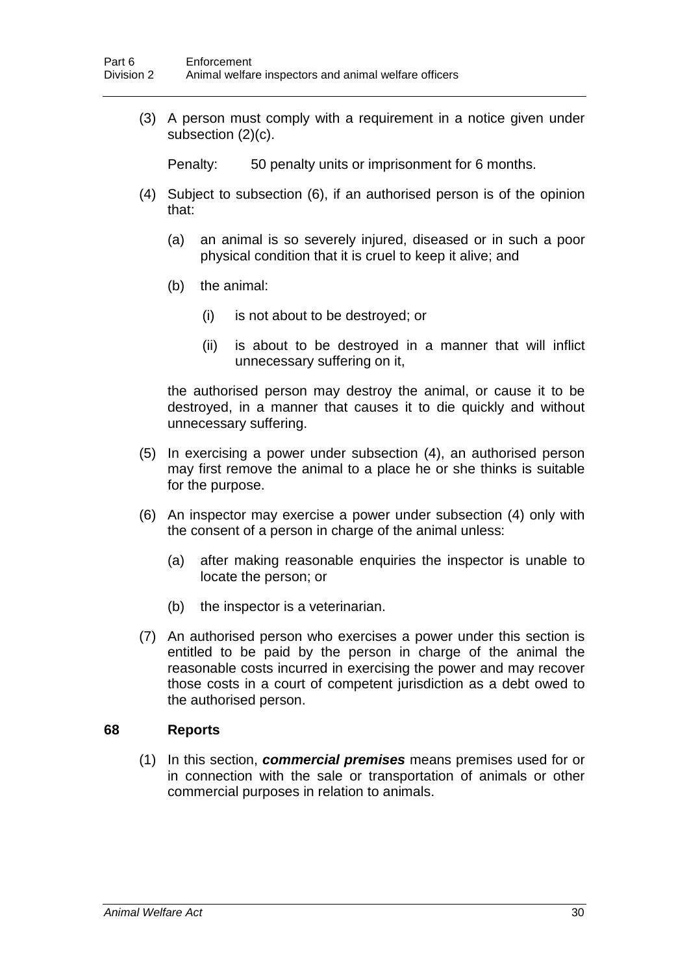(3) A person must comply with a requirement in a notice given under subsection (2)(c).

Penalty: 50 penalty units or imprisonment for 6 months.

- (4) Subject to subsection (6), if an authorised person is of the opinion that:
	- (a) an animal is so severely injured, diseased or in such a poor physical condition that it is cruel to keep it alive; and
	- (b) the animal:
		- (i) is not about to be destroyed; or
		- (ii) is about to be destroyed in a manner that will inflict unnecessary suffering on it,

the authorised person may destroy the animal, or cause it to be destroyed, in a manner that causes it to die quickly and without unnecessary suffering.

- (5) In exercising a power under subsection (4), an authorised person may first remove the animal to a place he or she thinks is suitable for the purpose.
- (6) An inspector may exercise a power under subsection (4) only with the consent of a person in charge of the animal unless:
	- (a) after making reasonable enquiries the inspector is unable to locate the person; or
	- (b) the inspector is a veterinarian.
- (7) An authorised person who exercises a power under this section is entitled to be paid by the person in charge of the animal the reasonable costs incurred in exercising the power and may recover those costs in a court of competent jurisdiction as a debt owed to the authorised person.

# **68 Reports**

(1) In this section, *commercial premises* means premises used for or in connection with the sale or transportation of animals or other commercial purposes in relation to animals.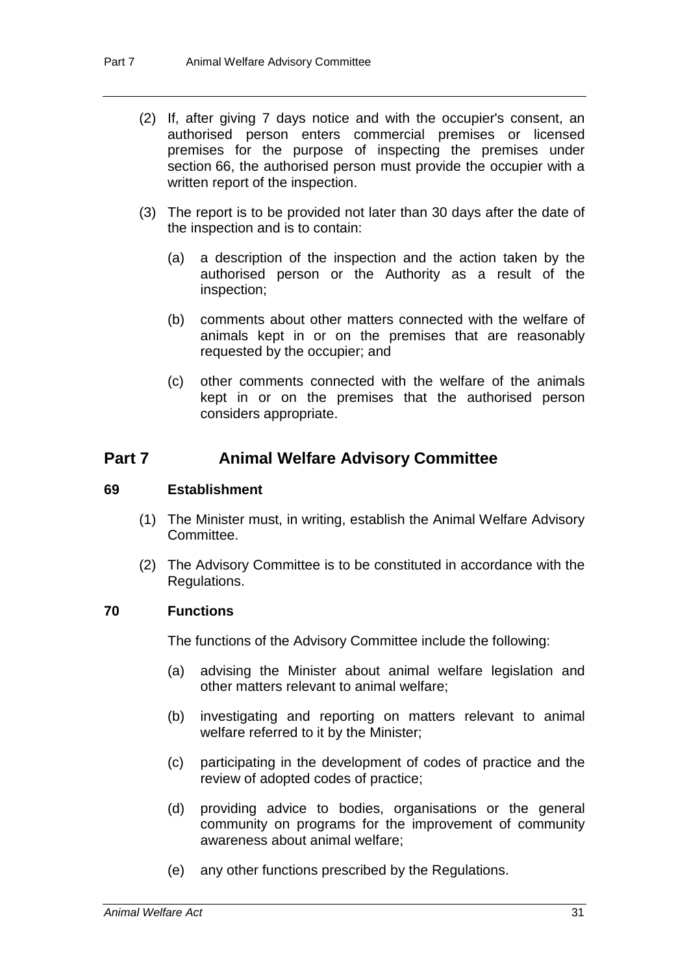- (2) If, after giving 7 days notice and with the occupier's consent, an authorised person enters commercial premises or licensed premises for the purpose of inspecting the premises under section 66, the authorised person must provide the occupier with a written report of the inspection.
- (3) The report is to be provided not later than 30 days after the date of the inspection and is to contain:
	- (a) a description of the inspection and the action taken by the authorised person or the Authority as a result of the inspection;
	- (b) comments about other matters connected with the welfare of animals kept in or on the premises that are reasonably requested by the occupier; and
	- (c) other comments connected with the welfare of the animals kept in or on the premises that the authorised person considers appropriate.

# **Part 7 Animal Welfare Advisory Committee**

#### **69 Establishment**

- (1) The Minister must, in writing, establish the Animal Welfare Advisory Committee.
- (2) The Advisory Committee is to be constituted in accordance with the Regulations.

# **70 Functions**

The functions of the Advisory Committee include the following:

- (a) advising the Minister about animal welfare legislation and other matters relevant to animal welfare;
- (b) investigating and reporting on matters relevant to animal welfare referred to it by the Minister;
- (c) participating in the development of codes of practice and the review of adopted codes of practice;
- (d) providing advice to bodies, organisations or the general community on programs for the improvement of community awareness about animal welfare;
- (e) any other functions prescribed by the Regulations.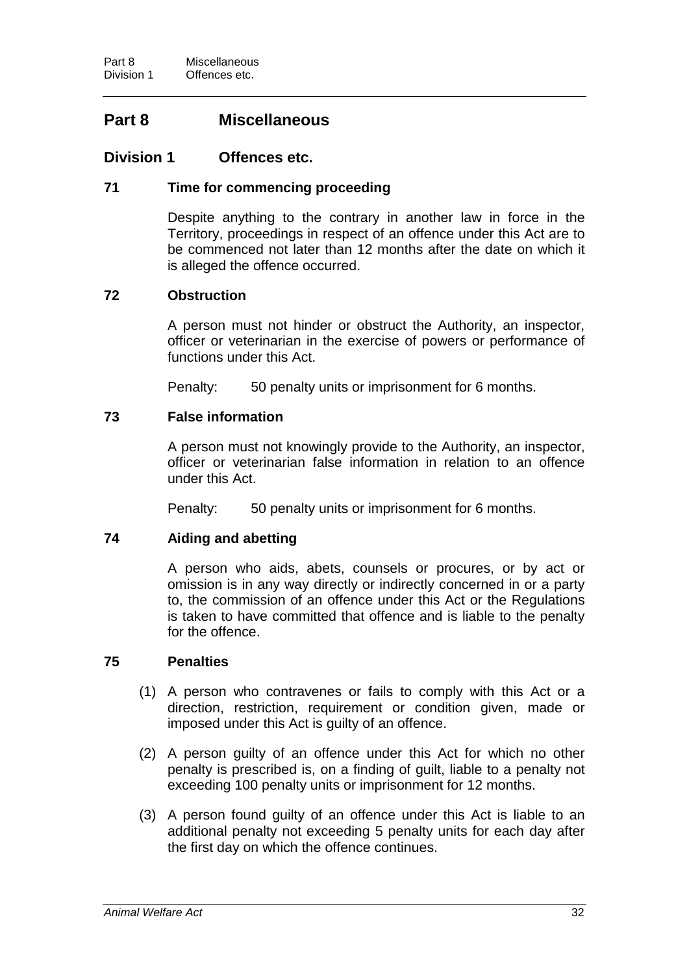# **Part 8 Miscellaneous**

# **Division 1 Offences etc.**

# **71 Time for commencing proceeding**

Despite anything to the contrary in another law in force in the Territory, proceedings in respect of an offence under this Act are to be commenced not later than 12 months after the date on which it is alleged the offence occurred.

# **72 Obstruction**

A person must not hinder or obstruct the Authority, an inspector, officer or veterinarian in the exercise of powers or performance of functions under this Act.

Penalty: 50 penalty units or imprisonment for 6 months.

# **73 False information**

A person must not knowingly provide to the Authority, an inspector, officer or veterinarian false information in relation to an offence under this Act.

Penalty: 50 penalty units or imprisonment for 6 months.

# **74 Aiding and abetting**

A person who aids, abets, counsels or procures, or by act or omission is in any way directly or indirectly concerned in or a party to, the commission of an offence under this Act or the Regulations is taken to have committed that offence and is liable to the penalty for the offence.

# **75 Penalties**

- (1) A person who contravenes or fails to comply with this Act or a direction, restriction, requirement or condition given, made or imposed under this Act is guilty of an offence.
- (2) A person guilty of an offence under this Act for which no other penalty is prescribed is, on a finding of guilt, liable to a penalty not exceeding 100 penalty units or imprisonment for 12 months.
- (3) A person found guilty of an offence under this Act is liable to an additional penalty not exceeding 5 penalty units for each day after the first day on which the offence continues.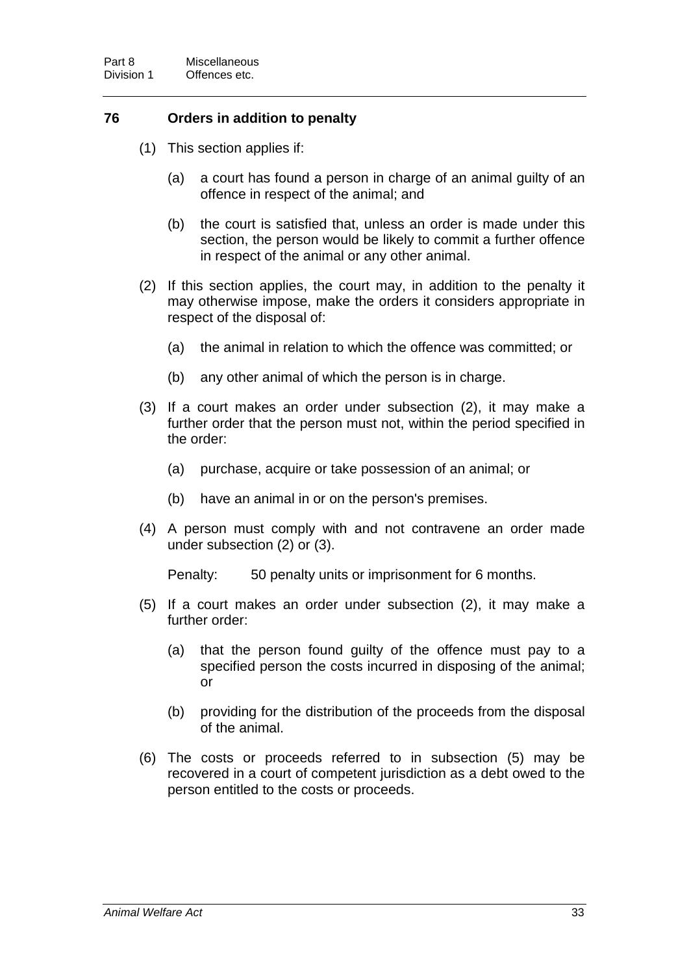# **76 Orders in addition to penalty**

- (1) This section applies if:
	- (a) a court has found a person in charge of an animal guilty of an offence in respect of the animal; and
	- (b) the court is satisfied that, unless an order is made under this section, the person would be likely to commit a further offence in respect of the animal or any other animal.
- (2) If this section applies, the court may, in addition to the penalty it may otherwise impose, make the orders it considers appropriate in respect of the disposal of:
	- (a) the animal in relation to which the offence was committed; or
	- (b) any other animal of which the person is in charge.
- (3) If a court makes an order under subsection (2), it may make a further order that the person must not, within the period specified in the order:
	- (a) purchase, acquire or take possession of an animal; or
	- (b) have an animal in or on the person's premises.
- (4) A person must comply with and not contravene an order made under subsection (2) or (3).

Penalty: 50 penalty units or imprisonment for 6 months.

- (5) If a court makes an order under subsection (2), it may make a further order:
	- (a) that the person found guilty of the offence must pay to a specified person the costs incurred in disposing of the animal; or
	- (b) providing for the distribution of the proceeds from the disposal of the animal.
- (6) The costs or proceeds referred to in subsection (5) may be recovered in a court of competent jurisdiction as a debt owed to the person entitled to the costs or proceeds.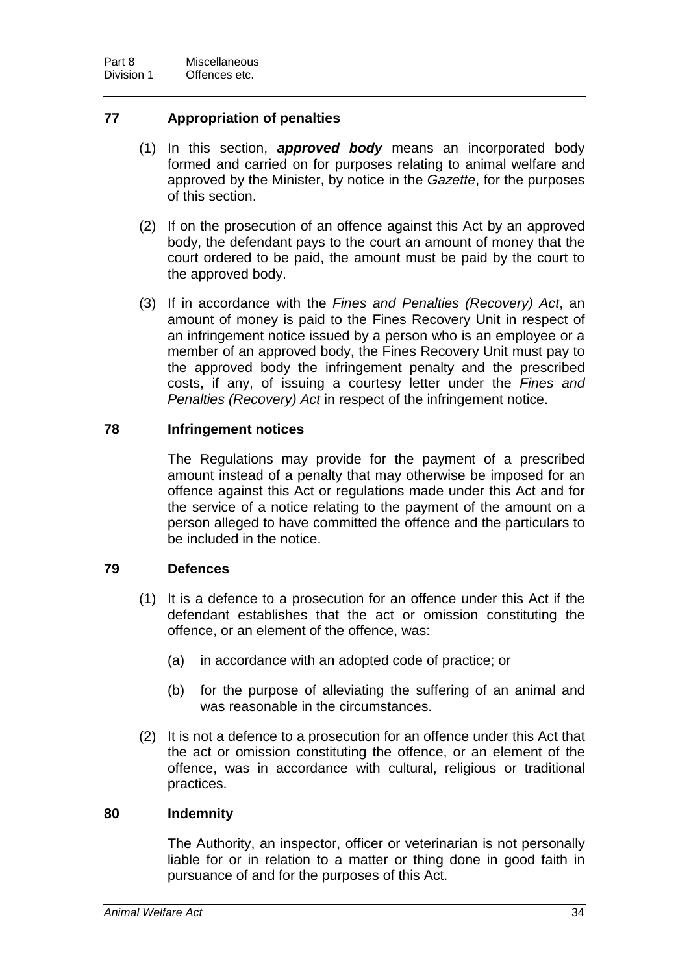# **77 Appropriation of penalties**

- (1) In this section, *approved body* means an incorporated body formed and carried on for purposes relating to animal welfare and approved by the Minister, by notice in the *Gazette*, for the purposes of this section.
- (2) If on the prosecution of an offence against this Act by an approved body, the defendant pays to the court an amount of money that the court ordered to be paid, the amount must be paid by the court to the approved body.
- (3) If in accordance with the *Fines and Penalties (Recovery) Act*, an amount of money is paid to the Fines Recovery Unit in respect of an infringement notice issued by a person who is an employee or a member of an approved body, the Fines Recovery Unit must pay to the approved body the infringement penalty and the prescribed costs, if any, of issuing a courtesy letter under the *Fines and Penalties (Recovery) Act* in respect of the infringement notice.

# **78 Infringement notices**

The Regulations may provide for the payment of a prescribed amount instead of a penalty that may otherwise be imposed for an offence against this Act or regulations made under this Act and for the service of a notice relating to the payment of the amount on a person alleged to have committed the offence and the particulars to be included in the notice.

# **79 Defences**

- (1) It is a defence to a prosecution for an offence under this Act if the defendant establishes that the act or omission constituting the offence, or an element of the offence, was:
	- (a) in accordance with an adopted code of practice; or
	- (b) for the purpose of alleviating the suffering of an animal and was reasonable in the circumstances.
- (2) It is not a defence to a prosecution for an offence under this Act that the act or omission constituting the offence, or an element of the offence, was in accordance with cultural, religious or traditional practices.

# **80 Indemnity**

The Authority, an inspector, officer or veterinarian is not personally liable for or in relation to a matter or thing done in good faith in pursuance of and for the purposes of this Act.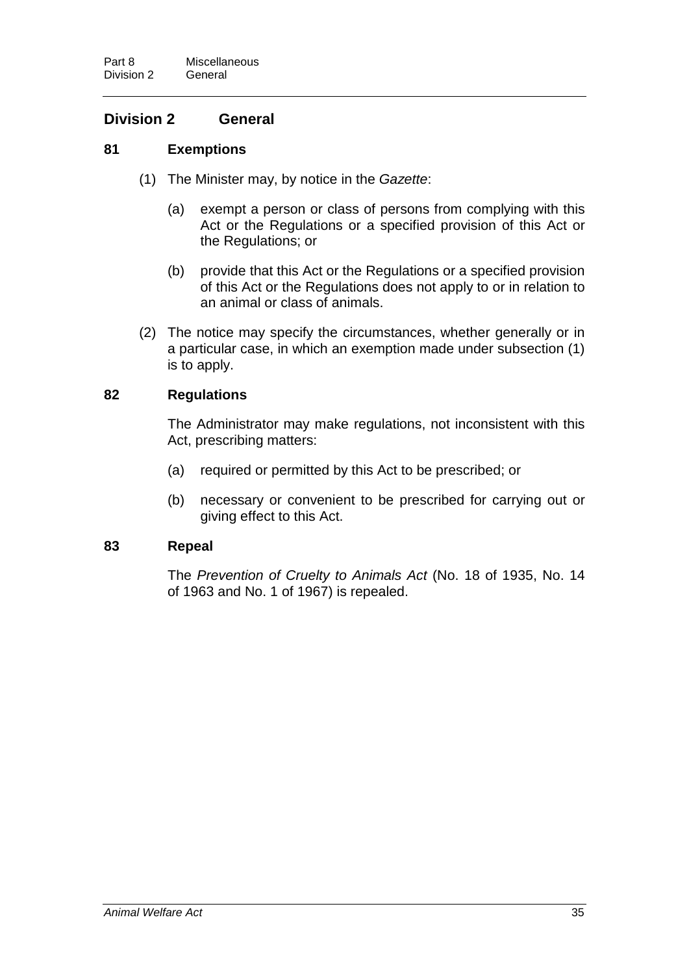# **Division 2 General**

# **81 Exemptions**

- (1) The Minister may, by notice in the *Gazette*:
	- (a) exempt a person or class of persons from complying with this Act or the Regulations or a specified provision of this Act or the Regulations; or
	- (b) provide that this Act or the Regulations or a specified provision of this Act or the Regulations does not apply to or in relation to an animal or class of animals.
- (2) The notice may specify the circumstances, whether generally or in a particular case, in which an exemption made under subsection (1) is to apply.

# **82 Regulations**

The Administrator may make regulations, not inconsistent with this Act, prescribing matters:

- (a) required or permitted by this Act to be prescribed; or
- (b) necessary or convenient to be prescribed for carrying out or giving effect to this Act.

# **83 Repeal**

The *Prevention of Cruelty to Animals Act* (No. 18 of 1935, No. 14 of 1963 and No. 1 of 1967) is repealed.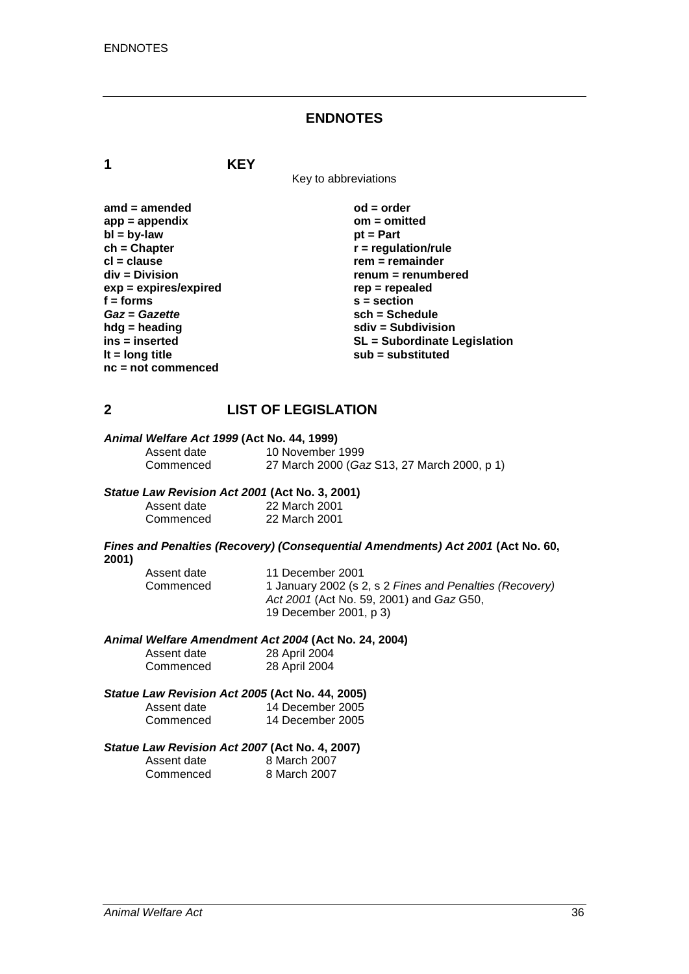### **ENDNOTES**

**1 KEY**

Key to abbreviations

| $amd = amended$         | $od = order$                        |
|-------------------------|-------------------------------------|
| $app = appendix$        | $om = omitted$                      |
| $bl = by-law$           | $pt = Part$                         |
| $ch = Chapter$          | $r =$ regulation/rule               |
| $cl = clause$           | $rem = remainder$                   |
| div = Division          | renum = renumbered                  |
| $exp = expires/expired$ | $rep = repeated$                    |
| $f =$ forms             | $s = section$                       |
| Gaz = Gazette           | $sch = Schedule$                    |
| $h dg =$ heading        | $sdiv = Subdivision$                |
| ins = inserted          | <b>SL = Subordinate Legislation</b> |
| It = $long$ title       | $sub =$ substituted                 |
| $nc = not commenced$    |                                     |

# **2 LIST OF LEGISLATION**

# *Animal Welfare Act 1999* **(Act No. 44, 1999)**

Assent date 10 November 1999<br>Commenced 27 March 2000 (Ga 27 March 2000 (*Gaz* S13, 27 March 2000, p 1)

#### *Statue Law Revision Act 2001* **(Act No. 3, 2001)**

| Assent date | 22 March 2001 |
|-------------|---------------|
| Commenced   | 22 March 2001 |

#### *Fines and Penalties (Recovery) (Consequential Amendments) Act 2001* **(Act No. 60, 2001)**

| Assent date | 11 December 2001                                        |
|-------------|---------------------------------------------------------|
| Commenced   | 1 January 2002 (s 2, s 2 Fines and Penalties (Recovery) |
|             | Act 2001 (Act No. 59, 2001) and Gaz G50,                |
|             | 19 December 2001, p 3)                                  |

#### *Animal Welfare Amendment Act 2004* **(Act No. 24, 2004)**

| Assent date | 28 April 2004 |
|-------------|---------------|
| Commenced   | 28 April 2004 |

# *Statue Law Revision Act 2005* **(Act No. 44, 2005)**

| Assent date | 14 December 2005 |
|-------------|------------------|
| Commenced   | 14 December 2005 |

#### *Statue Law Revision Act 2007* **(Act No. 4, 2007)**

| Assent date | 8 March 2007 |
|-------------|--------------|
| Commenced   | 8 March 2007 |